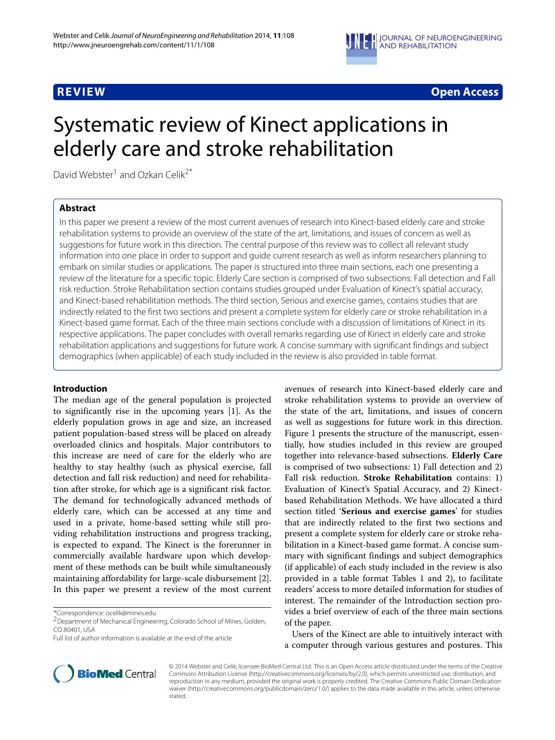

**REVIEW Open Access**

# Systematic review of Kinect applications in elderly care and stroke rehabilitation

David Webster<sup>1</sup> and Ozkan Celik<sup>2\*</sup>

# **Abstract**

In this paper we present a review of the most current avenues of research into Kinect-based elderly care and stroke rehabilitation systems to provide an overview of the state of the art, limitations, and issues of concern as well as suggestions for future work in this direction. The central purpose of this review was to collect all relevant study information into one place in order to support and guide current research as well as inform researchers planning to embark on similar studies or applications. The paper is structured into three main sections, each one presenting a review of the literature for a specific topic. Elderly Care section is comprised of two subsections: [Fall detection](#page-11-0) and [Fall](#page-13-0) [risk reduction.](#page-13-0) Stroke Rehabilitation section contains studies grouped under [Evaluation of Kinect's spatial accuracy,](#page-14-0) and [Kinect-based rehabilitation methods.](#page-15-0) The third section, [Serious and exercise games,](#page-16-0) contains studies that are indirectly related to the first two sections and present a complete system for elderly care or stroke rehabilitation in a Kinect-based game format. Each of the three main sections conclude with a discussion of limitations of Kinect in its respective applications. The paper concludes with overall remarks regarding use of Kinect in elderly care and stroke rehabilitation applications and suggestions for future work. A concise summary with significant findings and subject demographics (when applicable) of each study included in the review is also provided in table format.

# <span id="page-0-0"></span>**Introduction**

The median age of the general population is projected to significantly rise in the upcoming years [\[1\]](#page-21-0). As the elderly population grows in age and size, an increased patient population-based stress will be placed on already overloaded clinics and hospitals. Major contributors to this increase are need of care for the elderly who are healthy to stay healthy (such as physical exercise, fall detection and fall risk reduction) and need for rehabilitation after stroke, for which age is a significant risk factor. The demand for technologically advanced methods of elderly care, which can be accessed at any time and used in a private, home-based setting while still providing rehabilitation instructions and progress tracking, is expected to expand. The Kinect is the forerunner in commercially available hardware upon which development of these methods can be built while simultaneously maintaining affordability for large-scale disbursement [\[2\]](#page-21-1). In this paper we present a review of the most current

\*Correspondence: [ocelik@mines.edu](mailto:ocelik@mines.edu)

avenues of research into Kinect-based elderly care and stroke rehabilitation systems to provide an overview of the state of the art, limitations, and issues of concern as well as suggestions for future work in this direction. Figure [1](#page-1-0) presents the structure of the manuscript, essentially, how studies included in this review are grouped together into relevance-based subsections. **Elderly Care** is comprised of two subsections: 1) [Fall detection](#page-11-0) and 2) [Fall risk reduction.](#page-13-1) **Stroke Rehabilitation** contains: 1) Evaluation of Kinect's Spatial Accuracy, and 2) Kinectbased Rehabilitation Methods. We have allocated a third section titled '**[Serious and exercise games](#page-16-0)**' for studies that are indirectly related to the first two sections and present a complete system for elderly care or stroke rehabilitation in a Kinect-based game format. A concise summary with significant findings and subject demographics (if applicable) of each study included in the review is also provided in a table format Tables [1](#page-2-0) and [2\)](#page-6-0), to facilitate readers' access to more detailed information for studies of interest. The remainder of the [Introduction](#page-0-0) section provides a brief overview of each of the three main sections of the paper.

Users of the Kinect are able to intuitively interact with a computer through various gestures and postures. This



© 2014 Webster and Celik; licensee BioMed Central Ltd. This is an Open Access article distributed under the terms of the Creative Commons Attribution License [\(http://creativecommons.org/licenses/by/2.0\)](http://creativecommons.org/licenses/by/2.0), which permits unrestricted use, distribution, and reproduction in any medium, provided the original work is properly credited. The Creative Commons Public Domain Dedication waiver [\(http://creativecommons.org/publicdomain/zero/1.0/\)](http://creativecommons.org/publicdomain/zero/1.0/) applies to the data made available in this article, unless otherwise stated.

<sup>2</sup>Department of Mechanical Engineering, Colorado School of Mines, Golden, CO 80401, USA

Full list of author information is available at the end of the article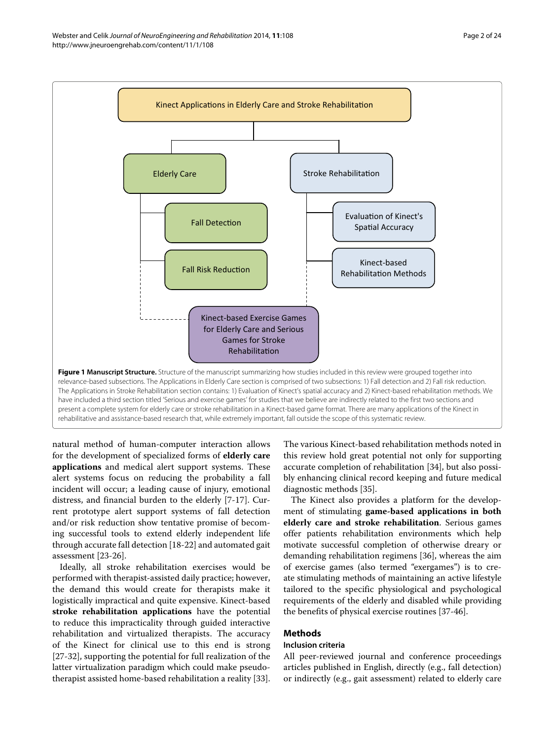

<span id="page-1-0"></span>natural method of human-computer interaction allows for the development of specialized forms of **elderly care applications** and medical alert support systems. These alert systems focus on reducing the probability a fall incident will occur; a leading cause of injury, emotional distress, and financial burden to the elderly [\[7-](#page-21-2)[17\]](#page-21-3). Current prototype alert support systems of fall detection and/or risk reduction show tentative promise of becoming successful tools to extend elderly independent life through accurate fall detection [\[18](#page-21-4)[-22\]](#page-21-5) and automated gait assessment [\[23-](#page-21-6)[26\]](#page-21-7).

Ideally, all stroke rehabilitation exercises would be performed with therapist-assisted daily practice; however, the demand this would create for therapists make it logistically impractical and quite expensive. Kinect-based **stroke rehabilitation applications** have the potential to reduce this impracticality through guided interactive rehabilitation and virtualized therapists. The accuracy of the Kinect for clinical use to this end is strong [\[27-](#page-21-8)[32\]](#page-21-9), supporting the potential for full realization of the latter virtualization paradigm which could make pseudotherapist assisted home-based rehabilitation a reality [\[33\]](#page-21-10). The various Kinect-based rehabilitation methods noted in this review hold great potential not only for supporting accurate completion of rehabilitation [\[34\]](#page-21-11), but also possibly enhancing clinical record keeping and future medical diagnostic methods [\[35\]](#page-21-12).

The Kinect also provides a platform for the development of stimulating **game-based applications in both elderly care and stroke rehabilitation**. Serious games offer patients rehabilitation environments which help motivate successful completion of otherwise dreary or demanding rehabilitation regimens [\[36\]](#page-21-13), whereas the aim of exercise games (also termed "exergames") is to create stimulating methods of maintaining an active lifestyle tailored to the specific physiological and psychological requirements of the elderly and disabled while providing the benefits of physical exercise routines [\[37](#page-21-14)[-46\]](#page-22-0).

# **Methods**

#### **Inclusion criteria**

All peer-reviewed journal and conference proceedings articles published in English, directly (e.g., fall detection) or indirectly (e.g., gait assessment) related to elderly care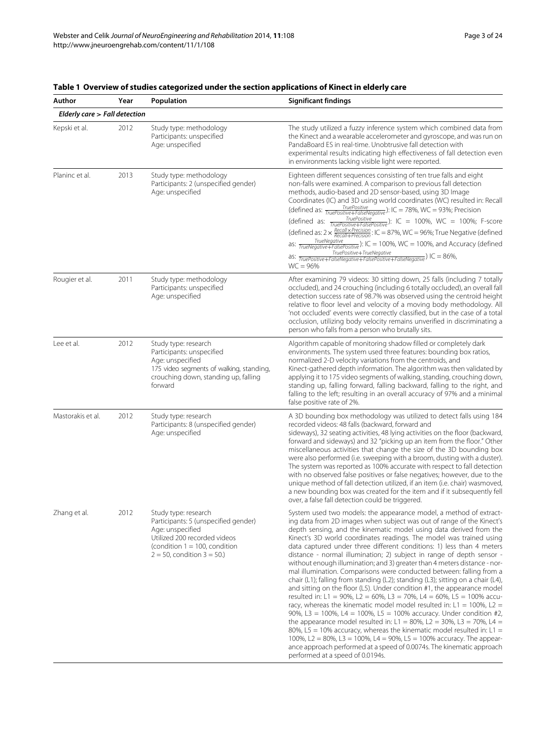|  | Page 3 of 24 |  |
|--|--------------|--|
|  |              |  |

<span id="page-2-0"></span>

| Author                        | Year | Population                                                                                                                                                                               | <b>Significant findings</b>                                                                                                                                                                                                                                                                                                                                                                                                                                                                                                                                                                                                                                                                                                                                                                                                                                                                                                                                                                                                                                                                                                                                                                                                                                                                                                     |
|-------------------------------|------|------------------------------------------------------------------------------------------------------------------------------------------------------------------------------------------|---------------------------------------------------------------------------------------------------------------------------------------------------------------------------------------------------------------------------------------------------------------------------------------------------------------------------------------------------------------------------------------------------------------------------------------------------------------------------------------------------------------------------------------------------------------------------------------------------------------------------------------------------------------------------------------------------------------------------------------------------------------------------------------------------------------------------------------------------------------------------------------------------------------------------------------------------------------------------------------------------------------------------------------------------------------------------------------------------------------------------------------------------------------------------------------------------------------------------------------------------------------------------------------------------------------------------------|
| Elderly care > Fall detection |      |                                                                                                                                                                                          |                                                                                                                                                                                                                                                                                                                                                                                                                                                                                                                                                                                                                                                                                                                                                                                                                                                                                                                                                                                                                                                                                                                                                                                                                                                                                                                                 |
| Kepski et al.                 | 2012 | Study type: methodology<br>Participants: unspecified<br>Age: unspecified                                                                                                                 | The study utilized a fuzzy inference system which combined data from<br>the Kinect and a wearable accelerometer and gyroscope, and was run on<br>PandaBoard ES in real-time. Unobtrusive fall detection with<br>experimental results indicating high effectiveness of fall detection even<br>in environments lacking visible light were reported.                                                                                                                                                                                                                                                                                                                                                                                                                                                                                                                                                                                                                                                                                                                                                                                                                                                                                                                                                                               |
| Planinc et al.                | 2013 | Study type: methodology<br>Participants: 2 (unspecified gender)<br>Age: unspecified                                                                                                      | Eighteen different sequences consisting of ten true falls and eight<br>non-falls were examined. A comparison to previous fall detection<br>methods, audio-based and 2D sensor-based, using 3D Image<br>Coordinates (IC) and 3D using world coordinates (WC) resulted in: Recall<br>(defined as: $\frac{TruePositive}{TruePositive + FalseNegative}$ ): IC = 78%, WC = 93%; Precision<br>(defined as: $\frac{The Positive}{TruePositive+FalsePositive}$ ): IC = 100%, WC = 100%; F-score<br>(defined as: $2 \times \frac{Recall+PreCision}{Recall+PreCision}$ : IC = 87%, WC = 96%; True Negative (defined<br>TrueNegative<br>as: $\frac{1}{TrueNegative+FalsePositive}$ ): IC = 100%, WC = 100%, and Accuracy (defined<br>$T_{\text{true}}$ TruePositive+TrueNegative<br>as: $T_{\text{true}}$ Positive+FalseNegative+FalsePositive+FalseNegative) IC = 86%,<br>$WC = 96%$                                                                                                                                                                                                                                                                                                                                                                                                                                                      |
| Rougier et al.                | 2011 | Study type: methodology<br>Participants: unspecified<br>Age: unspecified                                                                                                                 | After examining 79 videos: 30 sitting down, 25 falls (including 7 totally<br>occluded), and 24 crouching (including 6 totally occluded), an overall fall<br>detection success rate of 98.7% was observed using the centroid height<br>relative to floor level and velocity of a moving body methodology. All<br>'not occluded' events were correctly classified, but in the case of a total<br>occlusion, utilizing body velocity remains unverified in discriminating a<br>person who falls from a person who brutally sits.                                                                                                                                                                                                                                                                                                                                                                                                                                                                                                                                                                                                                                                                                                                                                                                                   |
| Lee et al.                    | 2012 | Study type: research<br>Participants: unspecified<br>Age: unspecified<br>175 video segments of walking, standing,<br>crouching down, standing up, falling<br>forward                     | Algorithm capable of monitoring shadow filled or completely dark<br>environments. The system used three features: bounding box ratios,<br>normalized 2-D velocity variations from the centroids, and<br>Kinect-gathered depth information. The algorithm was then validated by<br>applying it to 175 video segments of walking, standing, crouching down,<br>standing up, falling forward, falling backward, falling to the right, and<br>falling to the left; resulting in an overall accuracy of 97% and a minimal<br>false positive rate of 2%.                                                                                                                                                                                                                                                                                                                                                                                                                                                                                                                                                                                                                                                                                                                                                                              |
| Mastorakis et al.             | 2012 | Study type: research<br>Participants: 8 (unspecified gender)<br>Age: unspecified                                                                                                         | A 3D bounding box methodology was utilized to detect falls using 184<br>recorded videos: 48 falls (backward, forward and<br>sideways), 32 seating activities, 48 lying activities on the floor (backward,<br>forward and sideways) and 32 "picking up an item from the floor." Other<br>miscellaneous activities that change the size of the 3D bounding box<br>were also performed (i.e. sweeping with a broom, dusting with a duster).<br>The system was reported as 100% accurate with respect to fall detection<br>with no observed false positives or false negatives; however, due to the<br>unique method of fall detection utilized, if an item (i.e. chair) wasmoved,<br>a new bounding box was created for the item and if it subsequently fell<br>over, a false fall detection could be triggered.                                                                                                                                                                                                                                                                                                                                                                                                                                                                                                                   |
| Zhang et al.                  | 2012 | Study type: research<br>Participants: 5 (unspecified gender)<br>Age: unspecified<br>Utilized 200 recorded videos<br>(condition $1 = 100$ , condition<br>$2 = 50$ , condition $3 = 50$ .) | System used two models: the appearance model, a method of extract-<br>ing data from 2D images when subject was out of range of the Kinect's<br>depth sensing, and the kinematic model using data derived from the<br>Kinect's 3D world coordinates readings. The model was trained using<br>data captured under three different conditions: 1) less than 4 meters<br>distance - normal illumination; 2) subject in range of depth sensor -<br>without enough illumination; and 3) greater than 4 meters distance - nor-<br>mal illumination. Comparisons were conducted between: falling from a<br>chair (L1); falling from standing (L2); standing (L3); sitting on a chair (L4),<br>and sitting on the floor (L5). Under condition #1, the appearance model<br>resulted in: L1 = 90%, L2 = 60%, L3 = 70%, L4 = 60%, L5 = 100% accu-<br>racy, whereas the kinematic model model resulted in: $L1 = 100\%$ , $L2 =$<br>90%, L3 = 100%, L4 = 100%, L5 = 100% accuracy. Under condition #2,<br>the appearance model resulted in: L1 = 80%, L2 = 30%, L3 = 70%, L4 =<br>80%, L5 = 10% accuracy, whereas the kinematic model resulted in: L1 =<br>100%, L2 = 80%, L3 = 100%, L4 = 90%, L5 = 100% accuracy. The appear-<br>ance approach performed at a speed of 0.0074s. The kinematic approach<br>performed at a speed of 0.0194s. |

# **Table 1 Overview of studies categorized under the section applications of Kinect in elderly care**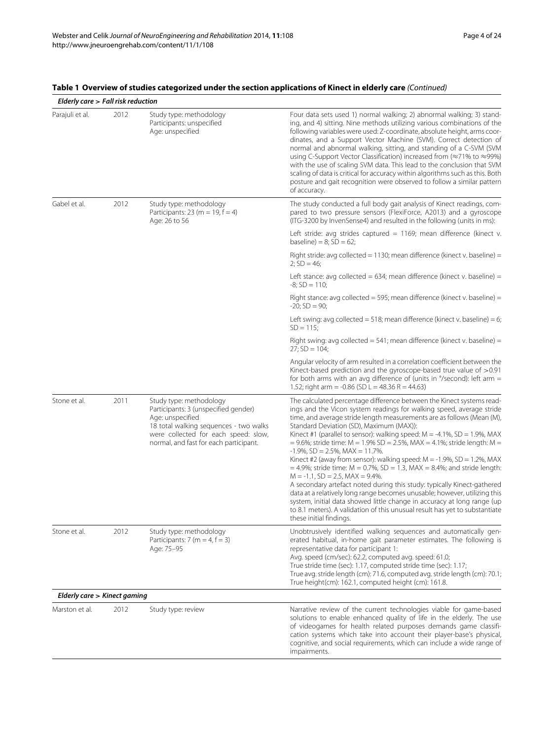# **Table 1 Overview of studies categorized under the section applications of Kinect in elderly care** *(Continued)*

| Elderly care $>$ Fall risk reduction |      |                                                                                                                                                                                                                 |                                                                                                                                                                                                                                                                                                                                                                                                                                                                                                                                                                                                                                                                                                                                                                                                                                                                                                                                                                                                                         |
|--------------------------------------|------|-----------------------------------------------------------------------------------------------------------------------------------------------------------------------------------------------------------------|-------------------------------------------------------------------------------------------------------------------------------------------------------------------------------------------------------------------------------------------------------------------------------------------------------------------------------------------------------------------------------------------------------------------------------------------------------------------------------------------------------------------------------------------------------------------------------------------------------------------------------------------------------------------------------------------------------------------------------------------------------------------------------------------------------------------------------------------------------------------------------------------------------------------------------------------------------------------------------------------------------------------------|
| Parajuli et al.                      | 2012 | Study type: methodology<br>Participants: unspecified<br>Age: unspecified                                                                                                                                        | Four data sets used 1) normal walking; 2) abnormal walking; 3) stand-<br>ing, and 4) sitting. Nine methods utilizing various combinations of the<br>following variables were used: Z-coordinate, absolute height, arms coor-<br>dinates, and a Support Vector Machine (SVM). Correct detection of<br>normal and abnormal walking, sitting, and standing of a C-SVM (SVM<br>using C-Support Vector Classification) increased from ( $\approx$ 71% to $\approx$ 99%)<br>with the use of scaling SVM data. This lead to the conclusion that SVM<br>scaling of data is critical for accuracy within algorithms such as this. Both<br>posture and gait recognition were observed to follow a similar pattern<br>of accuracy.                                                                                                                                                                                                                                                                                                 |
| Gabel et al.                         | 2012 | Study type: methodology<br>Participants: 23 (m = 19, $f = 4$ )<br>Age: 26 to 56                                                                                                                                 | The study conducted a full body gait analysis of Kinect readings, com-<br>pared to two pressure sensors (FlexiForce, A2013) and a gyroscope<br>(ITG-3200 by InvenSense4) and resulted in the following (units in ms):                                                                                                                                                                                                                                                                                                                                                                                                                                                                                                                                                                                                                                                                                                                                                                                                   |
|                                      |      |                                                                                                                                                                                                                 | Left stride: avg strides captured = 1169; mean difference (kinect v.<br>baseline) = $8$ ; SD = $62$ ;                                                                                                                                                                                                                                                                                                                                                                                                                                                                                                                                                                                                                                                                                                                                                                                                                                                                                                                   |
|                                      |      |                                                                                                                                                                                                                 | Right stride: avg collected = 1130; mean difference (kinect v. baseline) =<br>$2; SD = 46;$                                                                                                                                                                                                                                                                                                                                                                                                                                                                                                                                                                                                                                                                                                                                                                                                                                                                                                                             |
|                                      |      |                                                                                                                                                                                                                 | Left stance: avg collected = 634; mean difference (kinect v. baseline) =<br>$-8$ ; SD = 110;                                                                                                                                                                                                                                                                                                                                                                                                                                                                                                                                                                                                                                                                                                                                                                                                                                                                                                                            |
|                                      |      |                                                                                                                                                                                                                 | Right stance: avg collected = 595; mean difference (kinect v. baseline) =<br>$-20$ ; SD = 90;                                                                                                                                                                                                                                                                                                                                                                                                                                                                                                                                                                                                                                                                                                                                                                                                                                                                                                                           |
|                                      |      |                                                                                                                                                                                                                 | Left swing: avg collected = 518; mean difference (kinect v. baseline) = 6;<br>$SD = 115$ ;                                                                                                                                                                                                                                                                                                                                                                                                                                                                                                                                                                                                                                                                                                                                                                                                                                                                                                                              |
|                                      |      |                                                                                                                                                                                                                 | Right swing: avg collected = 541; mean difference (kinect v. baseline) =<br>$27; SD = 104;$                                                                                                                                                                                                                                                                                                                                                                                                                                                                                                                                                                                                                                                                                                                                                                                                                                                                                                                             |
|                                      |      |                                                                                                                                                                                                                 | Angular velocity of arm resulted in a correlation coefficient between the<br>Kinect-based prediction and the gyroscope-based true value of $>0.91$<br>for both arms with an avg difference of (units in $\degree$ /second): left arm =<br>1.52; right arm = -0.86 (SD L = 48.36 R = 44.63)                                                                                                                                                                                                                                                                                                                                                                                                                                                                                                                                                                                                                                                                                                                              |
| Stone et al.                         | 2011 | Study type: methodology<br>Participants: 3 (unspecified gender)<br>Age: unspecified<br>18 total walking sequences - two walks<br>were collected for each speed: slow,<br>normal, and fast for each participant. | The calculated percentage difference between the Kinect systems read-<br>ings and the Vicon system readings for walking speed, average stride<br>time, and average stride length measurements are as follows (Mean (M),<br>Standard Deviation (SD), Maximum (MAX)):<br>Kinect #1 (parallel to sensor): walking speed: $M = -4.1\%$ , SD = 1.9%, MAX<br>= 9.6%; stride time: $M = 1.9\%$ SD = 2.5%, MAX = 4.1%; stride length: $M =$<br>$-1.9\%$ , SD = 2.5%, MAX = 11.7%.<br>Kinect #2 (away from sensor): walking speed: $M = -1.9\%$ , SD = 1.2%, MAX<br>$=$ 4.9%; stride time: M = 0.7%, SD = 1.3, MAX = 8.4%; and stride length:<br>$M = -1.1$ , SD = 2.5, MAX = 9.4%.<br>A secondary artefact noted during this study: typically Kinect-gathered<br>data at a relatively long range becomes unusable; however, utilizing this<br>system, initial data showed little change in accuracy at long range (up<br>to 8.1 meters). A validation of this unusual result has yet to substantiate<br>these initial findings. |
| Stone et al.                         | 2012 | Study type: methodology<br>Participants: $7 (m = 4, f = 3)$<br>Age: 75-95                                                                                                                                       | Unobtrusively identified walking sequences and automatically gen-<br>erated habitual, in-home gait parameter estimates. The following is<br>representative data for participant 1:<br>Avg. speed (cm/sec): 62.2, computed avg. speed: 61.0;<br>True stride time (sec): 1.17, computed stride time (sec): 1.17;<br>True avg. stride length (cm): 71.6, computed avg. stride length (cm): 70.1;<br>True height(cm): 162.1, computed height (cm): 161.8.                                                                                                                                                                                                                                                                                                                                                                                                                                                                                                                                                                   |
| Elderly care > Kinect gaming         |      |                                                                                                                                                                                                                 |                                                                                                                                                                                                                                                                                                                                                                                                                                                                                                                                                                                                                                                                                                                                                                                                                                                                                                                                                                                                                         |
| Marston et al.                       | 2012 | Study type: review                                                                                                                                                                                              | Narrative review of the current technologies viable for game-based<br>solutions to enable enhanced quality of life in the elderly. The use<br>of videogames for health related purposes demands game classifi-<br>cation systems which take into account their player-base's physical,<br>cognitive, and social requirements, which can include a wide range of<br>impairments.                                                                                                                                                                                                                                                                                                                                                                                                                                                                                                                                                                                                                                         |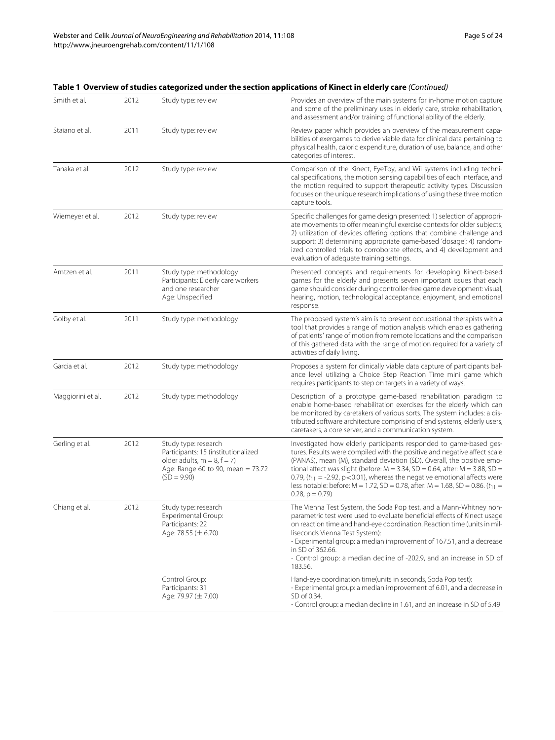| Page 5 of 24 |
|--------------|
|--------------|

| Smith et al.      | 2012 | Study type: review                                                                                                                                     | Provides an overview of the main systems for in-home motion capture<br>and some of the preliminary uses in elderly care, stroke rehabilitation,<br>and assessment and/or training of functional ability of the elderly.                                                                                                                                                                                                                                                                                         |  |
|-------------------|------|--------------------------------------------------------------------------------------------------------------------------------------------------------|-----------------------------------------------------------------------------------------------------------------------------------------------------------------------------------------------------------------------------------------------------------------------------------------------------------------------------------------------------------------------------------------------------------------------------------------------------------------------------------------------------------------|--|
| Staiano et al.    | 2011 | Study type: review                                                                                                                                     | Review paper which provides an overview of the measurement capa-<br>bilities of exergames to derive viable data for clinical data pertaining to<br>physical health, caloric expenditure, duration of use, balance, and other<br>categories of interest.                                                                                                                                                                                                                                                         |  |
| Tanaka et al.     | 2012 | Study type: review                                                                                                                                     | Comparison of the Kinect, EyeToy, and Wii systems including techni-<br>cal specifications, the motion sensing capabilities of each interface, and<br>the motion required to support therapeutic activity types. Discussion<br>focuses on the unique research implications of using these three motion<br>capture tools.                                                                                                                                                                                         |  |
| Wiemeyer et al.   | 2012 | Study type: review                                                                                                                                     | Specific challenges for game design presented: 1) selection of appropri-<br>ate movements to offer meaningful exercise contexts for older subjects;<br>2) utilization of devices offering options that combine challenge and<br>support; 3) determining appropriate game-based 'dosage'; 4) random-<br>ized controlled trials to corroborate effects, and 4) development and<br>evaluation of adequate training settings.                                                                                       |  |
| Arntzen et al.    | 2011 | Study type: methodology<br>Participants: Elderly care workers<br>and one researcher<br>Age: Unspecified                                                | Presented concepts and requirements for developing Kinect-based<br>games for the elderly and presents seven important issues that each<br>game should consider during controller-free game development: visual,<br>hearing, motion, technological acceptance, enjoyment, and emotional<br>response.                                                                                                                                                                                                             |  |
| Golby et al.      | 2011 | Study type: methodology                                                                                                                                | The proposed system's aim is to present occupational therapists with a<br>tool that provides a range of motion analysis which enables gathering<br>of patients' range of motion from remote locations and the comparison<br>of this gathered data with the range of motion required for a variety of<br>activities of daily living.                                                                                                                                                                             |  |
| Garcia et al.     | 2012 | Study type: methodology                                                                                                                                | Proposes a system for clinically viable data capture of participants bal-<br>ance level utilizing a Choice Step Reaction Time mini game which<br>requires participants to step on targets in a variety of ways.                                                                                                                                                                                                                                                                                                 |  |
| Maggiorini et al. | 2012 | Study type: methodology                                                                                                                                | Description of a prototype game-based rehabilitation paradigm to<br>enable home-based rehabilitation exercises for the elderly which can<br>be monitored by caretakers of various sorts. The system includes: a dis-<br>tributed software architecture comprising of end systems, elderly users,<br>caretakers, a core server, and a communication system.                                                                                                                                                      |  |
| Gerling et al.    | 2012 | Study type: research<br>Participants: 15 (institutionalized<br>older adults, $m = 8$ , $f = 7$ )<br>Age: Range 60 to 90, mean = 73.72<br>$(SD = 9.90)$ | Investigated how elderly participants responded to game-based ges-<br>tures. Results were compiled with the positive and negative affect scale<br>(PANAS), mean (M), standard deviation (SD). Overall, the positive emo-<br>tional affect was slight (before: $M = 3.34$ , SD = 0.64, after: $M = 3.88$ , SD =<br>0.79, $(t_{11} = -2.92, p < 0.01)$ , whereas the negative emotional affects were<br>less notable: before: M = 1.72, SD = 0.78, after: M = 1.68, SD = 0.86. $(t_{11}$ =<br>$0.28$ , $p = 0.79$ |  |
| Chiang et al.     | 2012 | Study type: research<br>Experimental Group:<br>Participants: 22<br>Age: 78.55 (± 6.70)                                                                 | The Vienna Test System, the Soda Pop test, and a Mann-Whitney non-<br>parametric test were used to evaluate beneficial effects of Kinect usage<br>on reaction time and hand-eye coordination. Reaction time (units in mil-<br>liseconds Vienna Test System):<br>- Experimental group: a median improvement of 167.51, and a decrease<br>in SD of 362.66.<br>- Control group: a median decline of -202.9, and an increase in SD of<br>183.56.                                                                    |  |
|                   |      | Control Group:<br>Participants: 31<br>Age: 79.97 (± 7.00)                                                                                              | Hand-eye coordination time(units in seconds, Soda Pop test):<br>- Experimental group: a median improvement of 6.01, and a decrease in<br>SD of 0.34.<br>- Control group: a median decline in 1.61, and an increase in SD of 5.49                                                                                                                                                                                                                                                                                |  |

# **Table 1 Overview of studies categorized under the section applications of Kinect in elderly care** *(Continued)*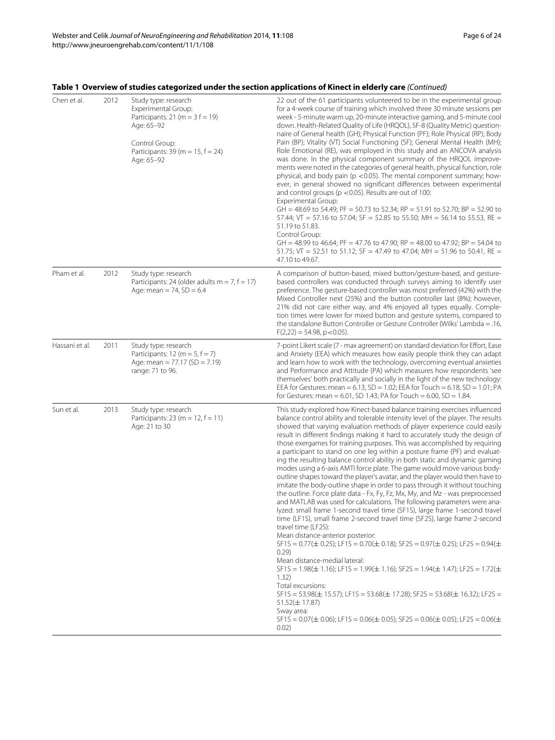| Chen et al.    | 2012 | Study type: research<br>Experimental Group:<br>Participants: 21 (m = $3 f = 19$ )<br>Age: 65-92<br>Control Group:<br>Participants: 39 (m = 15, $f = 24$ )<br>Age: 65-92 | 22 out of the 61 participants volunteered to be in the experimental group<br>for a 4-week course of training which involved three 30 minute sessions per<br>week - 5-minute warm up, 20-minute interactive gaming, and 5-minute cool<br>down. Health-Related Quality of Life (HRQOL), SF-8 (Quality Metric) question-<br>naire of General health (GH); Physical Function (PF); Role Physical (RP); Body<br>Pain (BP); Vitality (VT) Social Functioning (SF); General Mental Health (MH);<br>Role Emotional (RE), was employed in this study and an ANCOVA analysis<br>was done. In the physical component summary of the HRQOL improve-<br>ments were noted in the categories of general health, physical function, role<br>physical, and body pain ( $p < 0.05$ ). The mental component summary; how-<br>ever, in general showed no significant differences between experimental<br>and control groups ( $p < 0.05$ ). Results are out of 100:<br>Experimental Group:<br>GH = 48.69 to 54.49; PF = 50.73 to 52.34; RP = 51.91 to 52.70; BP = 52.90 to<br>57.44; VT = 57.16 to 57.04; SF = 52.85 to 55.50; MH = 56.14 to 55.53, RE =<br>51.19 to 51.83.<br>Control Group:<br>GH = 48.99 to 46.64; PF = 47.76 to 47.90; RP = 48.00 to 47.92; BP = 54.04 to<br>51.75; VT = 52.51 to 51.12; SF = 47.49 to 47.04; MH = 51.96 to 50.41, RE =<br>47.10 to 49.67.                                                                                                                                                                                                                                                                                                                                                                                |
|----------------|------|-------------------------------------------------------------------------------------------------------------------------------------------------------------------------|-------------------------------------------------------------------------------------------------------------------------------------------------------------------------------------------------------------------------------------------------------------------------------------------------------------------------------------------------------------------------------------------------------------------------------------------------------------------------------------------------------------------------------------------------------------------------------------------------------------------------------------------------------------------------------------------------------------------------------------------------------------------------------------------------------------------------------------------------------------------------------------------------------------------------------------------------------------------------------------------------------------------------------------------------------------------------------------------------------------------------------------------------------------------------------------------------------------------------------------------------------------------------------------------------------------------------------------------------------------------------------------------------------------------------------------------------------------------------------------------------------------------------------------------------------------------------------------------------------------------------------------------------------------------------------------------------------------------------------------------|
| Pham et al.    | 2012 | Study type: research<br>Participants: 24 (older adults m = 7, $f = 17$ )<br>Age: mean = 74, $SD = 6.4$                                                                  | A comparison of button-based, mixed button/gesture-based, and gesture-<br>based controllers was conducted through surveys aiming to identify user<br>preference. The gesture-based controller was most preferred (42%) with the<br>Mixed Controller next (25%) and the button controller last (8%); however,<br>21% did not care either way, and 4% enjoyed all types equally. Comple-<br>tion times were lower for mixed button and gesture systems, compared to<br>the standalone Button Controller or Gesture Controller (Wilks' Lambda = .16,<br>$F(2,22) = 54.98$ , p < 0.05).                                                                                                                                                                                                                                                                                                                                                                                                                                                                                                                                                                                                                                                                                                                                                                                                                                                                                                                                                                                                                                                                                                                                                       |
| Hassani et al. | 2011 | Study type: research<br>Participants: 12 (m = $5, f = 7$ )<br>Age: mean = $77.17$ (SD = $7.19$ )<br>range: 71 to 96.                                                    | 7-point Likert scale (7 - max agreement) on standard deviation for Effort, Ease<br>and Anxiety (EEA) which measures how easily people think they can adapt<br>and learn how to work with the technology, overcoming eventual anxieties<br>and Performance and Attitude (PA) which measures how respondents 'see<br>themselves' both practically and socially in the light of the new technology:<br>EEA for Gestures: mean = $6.13$ , SD = 1.02; EEA for Touch = $6.18$ , SD = $1.01$ ; PA<br>for Gestures: mean = $6.01$ , SD 1.43; PA for Touch = $6.00$ , SD = 1.84.                                                                                                                                                                                                                                                                                                                                                                                                                                                                                                                                                                                                                                                                                                                                                                                                                                                                                                                                                                                                                                                                                                                                                                   |
| Sun et al.     | 2013 | Study type: research<br>Participants: 23 (m = 12, f = 11)<br>Age: 21 to 30                                                                                              | This study explored how Kinect-based balance training exercises influenced<br>balance control ability and tolerable intensity level of the player. The results<br>showed that varying evaluation methods of player experience could easily<br>result in different findings making it hard to accurately study the design of<br>those exergames for training purposes. This was accomplished by requiring<br>a participant to stand on one leg within a posture frame (PF) and evaluat-<br>ing the resulting balance control ability in both static and dynamic gaming<br>modes using a 6-axis AMTI force plate. The game would move various body-<br>outline shapes toward the player's avatar, and the player would then have to<br>imitate the body-outline shape in order to pass through it without touching<br>the outline. Force plate data - Fx, Fy, Fz, Mx, My, and Mz - was preprocessed<br>and MATLAB was used for calculations. The following parameters were ana-<br>lyzed: small frame 1-second travel time (SF1S), large frame 1-second travel<br>time (LF1S), small frame 2-second travel time (SF2S), large frame 2-second<br>travel time (LF2S):<br>Mean distance-anterior posterior:<br>SF1S = 0.77( $\pm$ 0.25); LF1S = 0.70( $\pm$ 0.18); SF2S = 0.97( $\pm$ 0.25); LF2S = 0.94( $\pm$<br>0.29)<br>Mean distance-medial lateral:<br>SF1S = $1.98(\pm 1.16)$ ; LF1S = $1.99(\pm 1.16)$ ; SF2S = $1.94(\pm 1.47)$ ; LF2S = $1.72(\pm$<br>1.32)<br>Total excursions:<br>SF1S = 53.98( $\pm$ 15.57); LF1S = 53.68( $\pm$ 17.28); SF2S = 53.68( $\pm$ 16.32); LF2S =<br>$51.52(\pm 17.87)$<br>Sway area:<br>SF1S = $0.07(\pm 0.06)$ ; LF1S = $0.06(\pm 0.05)$ ; SF2S = $0.06(\pm 0.05)$ ; LF2S = $0.06(\pm 0.05)$<br>0.02) |

# **Table 1 Overview of studies categorized under the section applications of Kinect in elderly care** *(Continued)*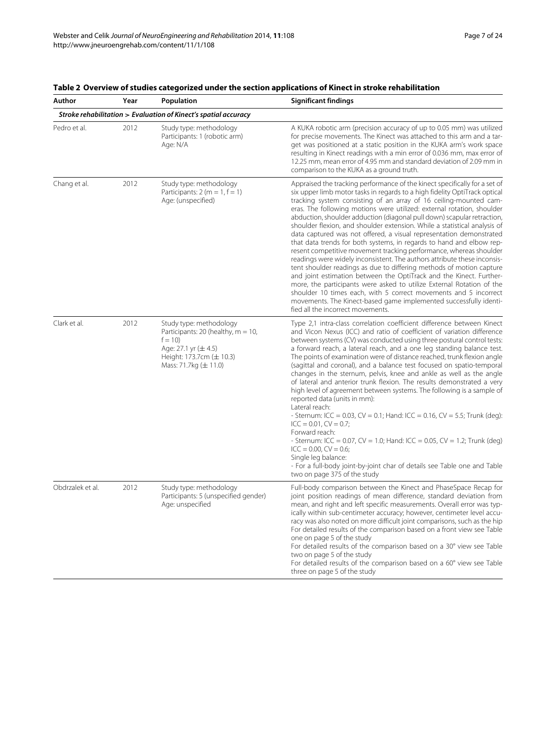<span id="page-6-0"></span>

| Author           | Year | Population                                                                                                                                                             | <b>Significant findings</b>                                                                                                                                                                                                                                                                                                                                                                                                                                                                                                                                                                                                                                                                                                                                                                                                                                                                                                                                                                                                                                                                                                                                            |
|------------------|------|------------------------------------------------------------------------------------------------------------------------------------------------------------------------|------------------------------------------------------------------------------------------------------------------------------------------------------------------------------------------------------------------------------------------------------------------------------------------------------------------------------------------------------------------------------------------------------------------------------------------------------------------------------------------------------------------------------------------------------------------------------------------------------------------------------------------------------------------------------------------------------------------------------------------------------------------------------------------------------------------------------------------------------------------------------------------------------------------------------------------------------------------------------------------------------------------------------------------------------------------------------------------------------------------------------------------------------------------------|
|                  |      | Stroke rehabilitation > Evaluation of Kinect's spatial accuracy                                                                                                        |                                                                                                                                                                                                                                                                                                                                                                                                                                                                                                                                                                                                                                                                                                                                                                                                                                                                                                                                                                                                                                                                                                                                                                        |
| Pedro et al.     | 2012 | Study type: methodology<br>Participants: 1 (robotic arm)<br>Age: N/A                                                                                                   | A KUKA robotic arm (precision accuracy of up to 0.05 mm) was utilized<br>for precise movements. The Kinect was attached to this arm and a tar-<br>get was positioned at a static position in the KUKA arm's work space<br>resulting in Kinect readings with a min error of 0.036 mm, max error of<br>12.25 mm, mean error of 4.95 mm and standard deviation of 2.09 mm in<br>comparison to the KUKA as a ground truth.                                                                                                                                                                                                                                                                                                                                                                                                                                                                                                                                                                                                                                                                                                                                                 |
| Chang et al.     | 2012 | Study type: methodology<br>Participants: $2(m = 1, f = 1)$<br>Age: (unspecified)                                                                                       | Appraised the tracking performance of the kinect specifically for a set of<br>six upper limb motor tasks in regards to a high fidelity OptiTrack optical<br>tracking system consisting of an array of 16 ceiling-mounted cam-<br>eras. The following motions were utilized: external rotation, shoulder<br>abduction, shoulder adduction (diagonal pull down) scapular retraction,<br>shoulder flexion, and shoulder extension. While a statistical analysis of<br>data captured was not offered, a visual representation demonstrated<br>that data trends for both systems, in regards to hand and elbow rep-<br>resent competitive movement tracking performance, whereas shoulder<br>readings were widely inconsistent. The authors attribute these inconsis-<br>tent shoulder readings as due to differing methods of motion capture<br>and joint estimation between the OptiTrack and the Kinect. Further-<br>more, the participants were asked to utilize External Rotation of the<br>shoulder 10 times each, with 5 correct movements and 5 incorrect<br>movements. The Kinect-based game implemented successfully identi-<br>fied all the incorrect movements. |
| Clark et al.     | 2012 | Study type: methodology<br>Participants: 20 (healthy, $m = 10$ ,<br>$f = 10$<br>Age: 27.1 yr $(\pm 4.5)$<br>Height: 173.7cm $(\pm 10.3)$<br>Mass: 71.7 $kg (\pm 11.0)$ | Type 2,1 intra-class correlation coefficient difference between Kinect<br>and Vicon Nexus (ICC) and ratio of coefficient of variation difference<br>between systems (CV) was conducted using three postural control tests:<br>a forward reach, a lateral reach, and a one leg standing balance test.<br>The points of examination were of distance reached, trunk flexion angle<br>(sagittal and coronal), and a balance test focused on spatio-temporal<br>changes in the sternum, pelvis, knee and ankle as well as the angle<br>of lateral and anterior trunk flexion. The results demonstrated a very<br>high level of agreement between systems. The following is a sample of<br>reported data (units in mm):<br>Lateral reach:<br>- Sternum: ICC = 0.03, CV = 0.1; Hand: ICC = 0.16, CV = 5.5; Trunk (deg):<br>$ICC = 0.01$ , $CV = 0.7$ ;<br>Forward reach:<br>- Sternum: ICC = 0.07, CV = 1.0; Hand: ICC = 0.05, CV = 1.2; Trunk (deg)<br>$ICC = 0.00, CV = 0.6;$<br>Single leg balance:<br>- For a full-body joint-by-joint char of details see Table one and Table<br>two on page 375 of the study                                                           |
| Obdrzalek et al. | 2012 | Study type: methodology<br>Participants: 5 (unspecified gender)<br>Age: unspecified                                                                                    | Full-body comparison between the Kinect and PhaseSpace Recap for<br>joint position readings of mean difference, standard deviation from<br>mean, and right and left specific measurements. Overall error was typ-<br>ically within sub-centimeter accuracy; however, centimeter level accu-<br>racy was also noted on more difficult joint comparisons, such as the hip<br>For detailed results of the comparison based on a front view see Table<br>one on page 5 of the study<br>For detailed results of the comparison based on a 30° view see Table<br>two on page 5 of the study<br>For detailed results of the comparison based on a 60° view see Table<br>three on page 5 of the study                                                                                                                                                                                                                                                                                                                                                                                                                                                                          |

# **Table 2 Overview of studies categorized under the section applications of Kinect in stroke rehabilitation**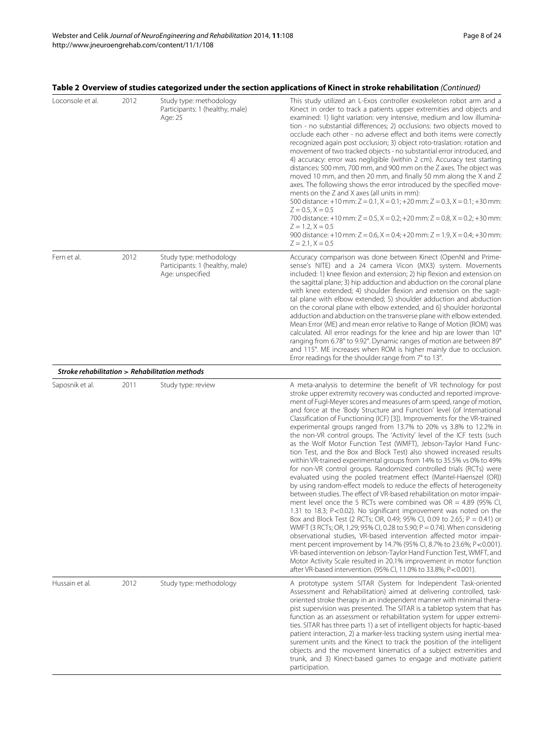|                  |      |                                                                                | $\sim$ . The state of the state is the state in the state of $\sim$                                                                                                                                                                                                                                                                                                                                                                                                                                                                                                                                                                                                                                                                                                                                                                                                                                                                                                                                                                                                                                                                                                                                                                                                                                                                                                                                                                                                                                                                                                                                                                                                                                              |
|------------------|------|--------------------------------------------------------------------------------|------------------------------------------------------------------------------------------------------------------------------------------------------------------------------------------------------------------------------------------------------------------------------------------------------------------------------------------------------------------------------------------------------------------------------------------------------------------------------------------------------------------------------------------------------------------------------------------------------------------------------------------------------------------------------------------------------------------------------------------------------------------------------------------------------------------------------------------------------------------------------------------------------------------------------------------------------------------------------------------------------------------------------------------------------------------------------------------------------------------------------------------------------------------------------------------------------------------------------------------------------------------------------------------------------------------------------------------------------------------------------------------------------------------------------------------------------------------------------------------------------------------------------------------------------------------------------------------------------------------------------------------------------------------------------------------------------------------|
| Loconsole et al. | 2012 | Study type: methodology<br>Participants: 1 (healthy, male)<br>Age: 25          | This study utilized an L-Exos controller exoskeleton robot arm and a<br>Kinect in order to track a patients upper extremities and objects and<br>examined: 1) light variation: very intensive, medium and low illumina-<br>tion - no substantial differences; 2) occlusions: two objects moved to<br>occlude each other - no adverse effect and both items were correctly<br>recognized again post occlusion; 3) object roto-traslation: rotation and<br>movement of two tracked objects - no substantial error introduced, and<br>4) accuracy: error was negligible (within 2 cm). Accuracy test starting<br>distances: 500 mm, 700 mm, and 900 mm on the Z axes. The object was<br>moved 10 mm, and then 20 mm, and finally 50 mm along the X and Z<br>axes. The following shows the error introduced by the specified move-<br>ments on the Z and X axes (all units in mm):<br>500 distance: +10 mm: $Z = 0.1$ , $X = 0.1$ ; +20 mm: $Z = 0.3$ , $X = 0.1$ ; +30 mm:<br>$Z = 0.5$ , $X = 0.5$<br>700 distance: +10 mm: $Z = 0.5$ , $X = 0.2$ ; +20 mm: $Z = 0.8$ , $X = 0.2$ ; +30 mm:<br>$Z = 1.2, X = 0.5$<br>900 distance: +10 mm: $Z = 0.6$ , $X = 0.4$ ; +20 mm: $Z = 1.9$ , $X = 0.4$ ; +30 mm:<br>$Z = 2.1, X = 0.5$                                                                                                                                                                                                                                                                                                                                                                                                                                                                                   |
| Fern et al.      | 2012 | Study type: methodology<br>Participants: 1 (healthy, male)<br>Age: unspecified | Accuracy comparison was done between Kinect (OpenNI and Prime-<br>sense's NITE) and a 24 camera Vicon (MX3) system. Movements<br>included: 1) knee flexion and extension; 2) hip flexion and extension on<br>the sagittal plane; 3) hip adduction and abduction on the coronal plane<br>with knee extended; 4) shoulder flexion and extension on the sagit-<br>tal plane with elbow extended; 5) shoulder adduction and abduction<br>on the coronal plane with elbow extended, and 6) shoulder horizontal<br>adduction and abduction on the transverse plane with elbow extended.<br>Mean Error (ME) and mean error relative to Range of Motion (ROM) was<br>calculated. All error readings for the knee and hip are lower than 10°<br>ranging from 6.78° to 9.92°. Dynamic ranges of motion are between 89°<br>and 115°. ME increases when ROM is higher mainly due to occlusion.<br>Error readings for the shoulder range from 7° to 13°.                                                                                                                                                                                                                                                                                                                                                                                                                                                                                                                                                                                                                                                                                                                                                                      |
|                  |      | Stroke rehabilitation > Rehabilitation methods                                 |                                                                                                                                                                                                                                                                                                                                                                                                                                                                                                                                                                                                                                                                                                                                                                                                                                                                                                                                                                                                                                                                                                                                                                                                                                                                                                                                                                                                                                                                                                                                                                                                                                                                                                                  |
| Saposnik et al.  | 2011 | Study type: review                                                             | A meta-analysis to determine the benefit of VR technology for post<br>stroke upper extremity recovery was conducted and reported improve-<br>ment of Fugl-Meyer scores and measures of arm speed, range of motion,<br>and force at the 'Body Structure and Function' level (of International<br>Classification of Functioning (ICF) [3]). Improvements for the VR-trained<br>experimental groups ranged from 13.7% to 20% vs 3.8% to 12.2% in<br>the non-VR control groups. The 'Activity' level of the ICF tests (such<br>as the Wolf Motor Function Test (WMFT), Jebson-Taylor Hand Func-<br>tion Test, and the Box and Block Test) also showed increased results<br>within VR-trained experimental groups from 14% to 35.5% vs 0% to 49%<br>for non-VR control groups. Randomized controlled trials (RCTs) were<br>evaluated using the pooled treatment effect (Mantel-Haenszel (OR))<br>by using random-effect models to reduce the effects of heterogeneity<br>between studies. The effect of VR-based rehabilitation on motor impair-<br>ment level once the 5 RCTs were combined was $OR = 4.89$ (95% CI)<br>1.31 to 18.3; P<0.02). No significant improvement was noted on the<br>Box and Block Test (2 RCTs; OR, 0.49; 95% CI, 0.09 to 2.65; P = 0.41) or<br>WMFT (3 RCTs; OR, 1.29; 95% CI, 0.28 to 5.90; P = 0.74). When considering<br>observational studies, VR-based intervention affected motor impair-<br>ment percent improvement by 14.7% (95% CI, 8.7% to 23.6%; P<0.001).<br>VR-based intervention on Jebson-Taylor Hand Function Test, WMFT, and<br>Motor Activity Scale resulted in 20.1% improvement in motor function<br>after VR-based intervention. (95% CI, 11.0% to 33.8%; P<0.001). |
| Hussain et al.   | 2012 | Study type: methodology                                                        | A prototype system SITAR (System for Independent Task-oriented<br>Assessment and Rehabilitation) aimed at delivering controlled, task-<br>oriented stroke therapy in an independent manner with minimal thera-<br>pist supervision was presented. The SITAR is a tabletop system that has<br>function as an assessment or rehabilitation system for upper extremi-<br>ties. SITAR has three parts 1) a set of intelligent objects for haptic-based<br>patient interaction, 2) a marker-less tracking system using inertial mea-<br>surement units and the Kinect to track the position of the intelligent<br>objects and the movement kinematics of a subject extremities and<br>trunk, and 3) Kinect-based games to engage and motivate patient<br>participation.                                                                                                                                                                                                                                                                                                                                                                                                                                                                                                                                                                                                                                                                                                                                                                                                                                                                                                                                               |

# **Table 2 Overview of studies categorized under the section applications of Kinect in stroke rehabilitation** *(Continued)*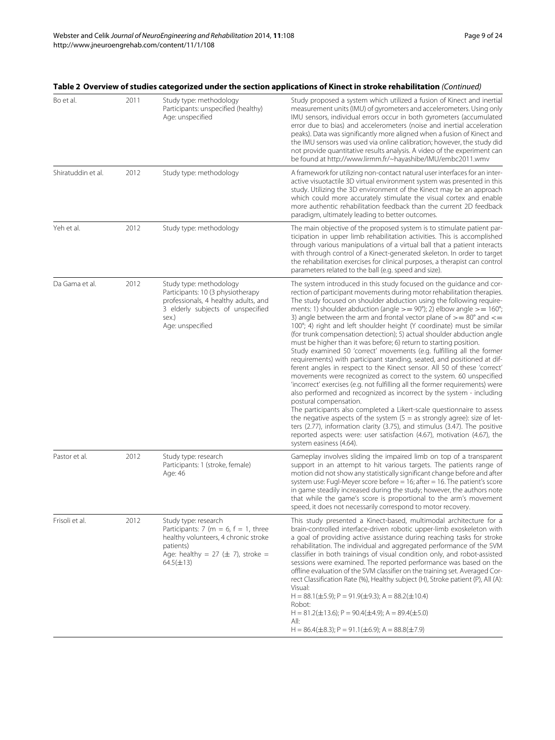|                    |      |                                                                                                                                                                               | Table 2 Overview of studies categorized under the section applications of Kinect in stroke rehabilitation (Continued)                                                                                                                                                                                                                                                                                                                                                                                                                                                                                                                                                                                                                                                                                                                                                                                                                                                                                                                                                                                                                                                                                                                                                                                                                                                                                                                                             |  |
|--------------------|------|-------------------------------------------------------------------------------------------------------------------------------------------------------------------------------|-------------------------------------------------------------------------------------------------------------------------------------------------------------------------------------------------------------------------------------------------------------------------------------------------------------------------------------------------------------------------------------------------------------------------------------------------------------------------------------------------------------------------------------------------------------------------------------------------------------------------------------------------------------------------------------------------------------------------------------------------------------------------------------------------------------------------------------------------------------------------------------------------------------------------------------------------------------------------------------------------------------------------------------------------------------------------------------------------------------------------------------------------------------------------------------------------------------------------------------------------------------------------------------------------------------------------------------------------------------------------------------------------------------------------------------------------------------------|--|
| Bo et al.          | 2011 | Study type: methodology<br>Participants: unspecified (healthy)<br>Age: unspecified                                                                                            | Study proposed a system which utilized a fusion of Kinect and inertial<br>measurement units (IMU) of gyrometers and accelerometers. Using only<br>IMU sensors, individual errors occur in both gyrometers (accumulated<br>error due to bias) and accelerometers (noise and inertial acceleration<br>peaks). Data was significantly more aligned when a fusion of Kinect and<br>the IMU sensors was used via online calibration; however, the study did<br>not provide quantitative results analysis. A video of the experiment can<br>be found at http://www.lirmm.fr/~hayashibe/lMU/embc2011.wmv                                                                                                                                                                                                                                                                                                                                                                                                                                                                                                                                                                                                                                                                                                                                                                                                                                                                 |  |
| Shiratuddin et al. | 2012 | Study type: methodology                                                                                                                                                       | A framework for utilizing non-contact natural user interfaces for an inter-<br>active visuotactile 3D virtual environment system was presented in this<br>study. Utilizing the 3D environment of the Kinect may be an approach<br>which could more accurately stimulate the visual cortex and enable<br>more authentic rehabilitation feedback than the current 2D feedback<br>paradigm, ultimately leading to better outcomes.                                                                                                                                                                                                                                                                                                                                                                                                                                                                                                                                                                                                                                                                                                                                                                                                                                                                                                                                                                                                                                   |  |
| Yeh et al.         | 2012 | Study type: methodology                                                                                                                                                       | The main objective of the proposed system is to stimulate patient par-<br>ticipation in upper limb rehabilitation activities. This is accomplished<br>through various manipulations of a virtual ball that a patient interacts<br>with through control of a Kinect-generated skeleton. In order to target<br>the rehabilitation exercises for clinical purposes, a therapist can control<br>parameters related to the ball (e.g. speed and size).                                                                                                                                                                                                                                                                                                                                                                                                                                                                                                                                                                                                                                                                                                                                                                                                                                                                                                                                                                                                                 |  |
| Da Gama et al.     | 2012 | Study type: methodology<br>Participants: 10 (3 physiotherapy<br>professionals, 4 healthy adults, and<br>3 elderly subjects of unspecified<br>sex.)<br>Age: unspecified        | The system introduced in this study focused on the guidance and cor-<br>rection of participant movements during motor rehabilitation therapies.<br>The study focused on shoulder abduction using the following require-<br>ments: 1) shoulder abduction (angle $>= 90^{\circ}$ ); 2) elbow angle $>= 160^{\circ}$ ;<br>3) angle between the arm and frontal vector plane of $>= 80^\circ$ and $<=$<br>100°; 4) right and left shoulder height (Y coordinate) must be similar<br>(for trunk compensation detection); 5) actual shoulder abduction angle<br>must be higher than it was before; 6) return to starting position.<br>Study examined 50 'correct' movements (e.g. fulfilling all the former<br>requirements) with participant standing, seated, and positioned at dif-<br>ferent angles in respect to the Kinect sensor. All 50 of these 'correct'<br>movements were recognized as correct to the system. 60 unspecified<br>'incorrect' exercises (e.g. not fulfilling all the former requirements) were<br>also performed and recognized as incorrect by the system - including<br>postural compensation.<br>The participants also completed a Likert-scale questionnaire to assess<br>the negative aspects of the system $(5 = as strongly agree)$ : size of let-<br>ters (2.77), information clarity (3.75), and stimulus (3.47). The positive<br>reported aspects were: user satisfaction (4.67), motivation (4.67), the<br>system easiness (4.64). |  |
| Pastor et al.      | 2012 | Study type: research<br>Participants: 1 (stroke, female)<br>Age: 46                                                                                                           | Gameplay involves sliding the impaired limb on top of a transparent<br>support in an attempt to hit various targets. The patients range of<br>motion did not show any statistically significant change before and after<br>system use: Fugl-Meyer score before = $16$ ; after = $16$ . The patient's score<br>in game steadily increased during the study; however, the authors note<br>that while the game's score is proportional to the arm's movement<br>speed, it does not necessarily correspond to motor recovery.                                                                                                                                                                                                                                                                                                                                                                                                                                                                                                                                                                                                                                                                                                                                                                                                                                                                                                                                         |  |
| Frisoli et al.     | 2012 | Study type: research<br>Participants: 7 (m = 6, f = 1, three<br>healthy volunteers, 4 chronic stroke<br>patients)<br>Age: healthy = 27 ( $\pm$ 7), stroke =<br>$64.5(\pm 13)$ | This study presented a Kinect-based, multimodal architecture for a<br>brain-controlled interface-driven robotic upper-limb exoskeleton with<br>a goal of providing active assistance during reaching tasks for stroke<br>rehabilitation. The individual and aggregated performance of the SVM<br>classifier in both trainings of visual condition only, and robot-assisted<br>sessions were examined. The reported performance was based on the<br>offline evaluation of the SVM classifier on the training set. Averaged Cor-<br>rect Classification Rate (%), Healthy subject (H), Stroke patient (P), All (A):<br>Visual:<br>$H = 88.1(\pm 5.9)$ ; P = 91.9( $\pm$ 9.3); A = 88.2( $\pm$ 10.4)<br>Robot:<br>$H = 81.2(\pm 13.6)$ ; P = 90.4( $\pm$ 4.9); A = 89.4( $\pm$ 5.0)<br>All:<br>$H = 86.4(\pm 8.3); P = 91.1(\pm 6.9); A = 88.8(\pm 7.9)$                                                                                                                                                                                                                                                                                                                                                                                                                                                                                                                                                                                                             |  |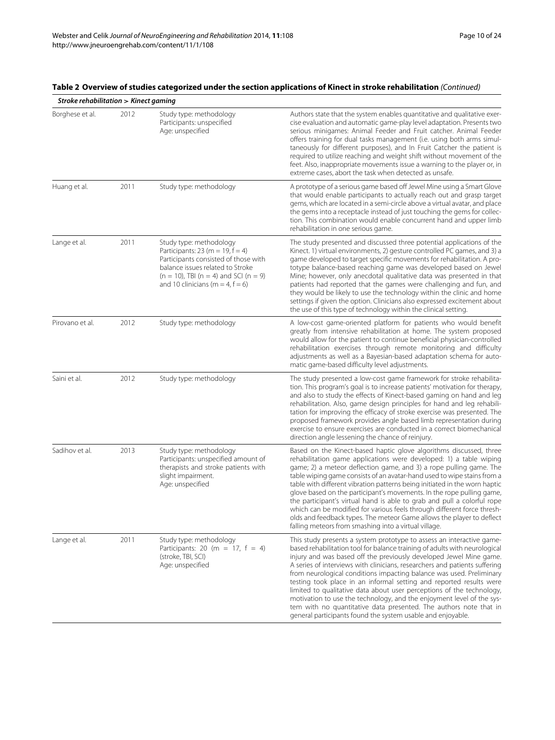# **Table 2 Overview of studies categorized under the section applications of Kinect in stroke rehabilitation** *(Continued)*

| Stroke rehabilitation > Kinect gaming |      |                                                                                                                                                                                                                                       |                                                                                                                                                                                                                                                                                                                                                                                                                                                                                                                                                                                                                                                                                                                                              |
|---------------------------------------|------|---------------------------------------------------------------------------------------------------------------------------------------------------------------------------------------------------------------------------------------|----------------------------------------------------------------------------------------------------------------------------------------------------------------------------------------------------------------------------------------------------------------------------------------------------------------------------------------------------------------------------------------------------------------------------------------------------------------------------------------------------------------------------------------------------------------------------------------------------------------------------------------------------------------------------------------------------------------------------------------------|
| Borghese et al.                       | 2012 | Study type: methodology<br>Participants: unspecified<br>Age: unspecified                                                                                                                                                              | Authors state that the system enables quantitative and qualitative exer-<br>cise evaluation and automatic game-play level adaptation. Presents two<br>serious minigames: Animal Feeder and Fruit catcher. Animal Feeder<br>offers training for dual tasks management (i.e. using both arms simul-<br>taneously for different purposes), and In Fruit Catcher the patient is<br>required to utilize reaching and weight shift without movement of the<br>feet. Also, inappropriate movements issue a warning to the player or, in<br>extreme cases, abort the task when detected as unsafe.                                                                                                                                                   |
| Huang et al.                          | 2011 | Study type: methodology                                                                                                                                                                                                               | A prototype of a serious game based off Jewel Mine using a Smart Glove<br>that would enable participants to actually reach out and grasp target<br>gems, which are located in a semi-circle above a virtual avatar, and place<br>the gems into a receptacle instead of just touching the gems for collec-<br>tion. This combination would enable concurrent hand and upper limb<br>rehabilitation in one serious game.                                                                                                                                                                                                                                                                                                                       |
| Lange et al.                          | 2011 | Study type: methodology<br>Participants: 23 (m = 19, $f = 4$ )<br>Participants consisted of those with<br>balance issues related to Stroke<br>$(n = 10)$ , TBI $(n = 4)$ and SCI $(n = 9)$<br>and 10 clinicians ( $m = 4$ , $f = 6$ ) | The study presented and discussed three potential applications of the<br>Kinect. 1) virtual environments, 2) gesture controlled PC games, and 3) a<br>game developed to target specific movements for rehabilitation. A pro-<br>totype balance-based reaching game was developed based on Jewel<br>Mine; however, only anecdotal qualitative data was presented in that<br>patients had reported that the games were challenging and fun, and<br>they would be likely to use the technology within the clinic and home<br>settings if given the option. Clinicians also expressed excitement about<br>the use of this type of technology within the clinical setting.                                                                        |
| Pirovano et al.                       | 2012 | Study type: methodology                                                                                                                                                                                                               | A low-cost game-oriented platform for patients who would benefit<br>greatly from intensive rehabilitation at home. The system proposed<br>would allow for the patient to continue beneficial physician-controlled<br>rehabilitation exercises through remote monitoring and difficulty<br>adjustments as well as a Bayesian-based adaptation schema for auto-<br>matic game-based difficulty level adjustments.                                                                                                                                                                                                                                                                                                                              |
| Saini et al.                          | 2012 | Study type: methodology                                                                                                                                                                                                               | The study presented a low-cost game framework for stroke rehabilita-<br>tion. This program's goal is to increase patients' motivation for therapy,<br>and also to study the effects of Kinect-based gaming on hand and leg<br>rehabilitation. Also, game design principles for hand and leg rehabili-<br>tation for improving the efficacy of stroke exercise was presented. The<br>proposed framework provides angle based limb representation during<br>exercise to ensure exercises are conducted in a correct biomechanical<br>direction angle lessening the chance of reinjury.                                                                                                                                                         |
| Sadihov et al.                        | 2013 | Study type: methodology<br>Participants: unspecified amount of<br>therapists and stroke patients with<br>slight impairment.<br>Age: unspecified                                                                                       | Based on the Kinect-based haptic glove algorithms discussed, three<br>rehabilitation game applications were developed: 1) a table wiping<br>game; 2) a meteor deflection game, and 3) a rope pulling game. The<br>table wiping game consists of an avatar-hand used to wipe stains from a<br>table with different vibration patterns being initiated in the worn haptic<br>glove based on the participant's movements. In the rope pulling game,<br>the participant's virtual hand is able to grab and pull a colorful rope<br>which can be modified for various feels through different force thresh-<br>olds and feedback types. The meteor Game allows the player to deflect<br>falling meteors from smashing into a virtual village.     |
| Lange et al.                          | 2011 | Study type: methodology<br>Participants: 20 (m = 17, $f = 4$ )<br>(stroke, TBI, SCI)<br>Age: unspecified                                                                                                                              | This study presents a system prototype to assess an interactive game-<br>based rehabilitation tool for balance training of adults with neurological<br>injury and was based off the previously developed Jewel Mine game.<br>A series of interviews with clinicians, researchers and patients suffering<br>from neurological conditions impacting balance was used. Preliminary<br>testing took place in an informal setting and reported results were<br>limited to qualitative data about user perceptions of the technology,<br>motivation to use the technology, and the enjoyment level of the sys-<br>tem with no quantitative data presented. The authors note that in<br>general participants found the system usable and enjoyable. |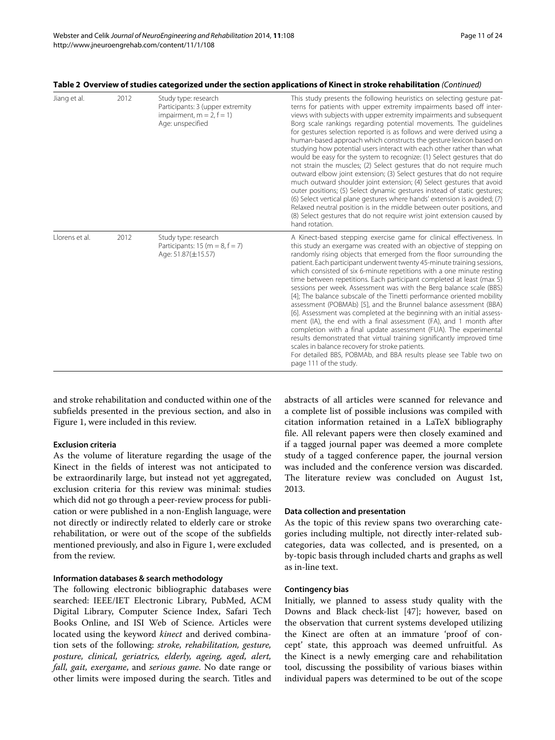| Jiang et al.   | 2012 | Study type: research<br>Participants: 3 (upper extremity<br>impairment, $m = 2$ , $f = 1$ )<br>Age: unspecified | This study presents the following heuristics on selecting gesture pat-<br>terns for patients with upper extremity impairments based off inter-<br>views with subjects with upper extremity impairments and subsequent<br>Borg scale rankings regarding potential movements. The quidelines<br>for gestures selection reported is as follows and were derived using a<br>human-based approach which constructs the gesture lexicon based on<br>studying how potential users interact with each other rather than what<br>would be easy for the system to recognize: (1) Select gestures that do<br>not strain the muscles; (2) Select gestures that do not require much<br>outward elbow joint extension; (3) Select gestures that do not require<br>much outward shoulder joint extension; (4) Select gestures that avoid<br>outer positions; (5) Select dynamic gestures instead of static gestures;<br>(6) Select vertical plane gestures where hands' extension is avoided; (7)<br>Relaxed neutral position is in the middle between outer positions, and<br>(8) Select gestures that do not require wrist joint extension caused by<br>hand rotation. |
|----------------|------|-----------------------------------------------------------------------------------------------------------------|-----------------------------------------------------------------------------------------------------------------------------------------------------------------------------------------------------------------------------------------------------------------------------------------------------------------------------------------------------------------------------------------------------------------------------------------------------------------------------------------------------------------------------------------------------------------------------------------------------------------------------------------------------------------------------------------------------------------------------------------------------------------------------------------------------------------------------------------------------------------------------------------------------------------------------------------------------------------------------------------------------------------------------------------------------------------------------------------------------------------------------------------------------------|
| Llorens et al. | 2012 | Study type: research<br>Participants: $15(m = 8, f = 7)$<br>Age: 51.87(±15.57)                                  | A Kinect-based stepping exercise game for clinical effectiveness. In<br>this study an exergame was created with an objective of stepping on<br>randomly rising objects that emerged from the floor surrounding the<br>patient. Each participant underwent twenty 45-minute training sessions,<br>which consisted of six 6-minute repetitions with a one minute resting<br>time between repetitions. Each participant completed at least (max 5)<br>sessions per week. Assessment was with the Berg balance scale (BBS)<br>[4]; The balance subscale of the Tinetti performance oriented mobility<br>assessment (POBMAb) [5], and the Brunnel balance assessment (BBA)<br>[6]. Assessment was completed at the beginning with an initial assess-<br>ment (IA), the end with a final assessment (FA), and 1 month after<br>completion with a final update assessment (FUA). The experimental<br>results demonstrated that virtual training significantly improved time<br>scales in balance recovery for stroke patients.<br>For detailed BBS, POBMAb, and BBA results please see Table two on<br>page 111 of the study.                                    |

| Table 2 Overview of studies categorized under the section applications of Kinect in stroke rehabilitation (Continued) |  |  |  |
|-----------------------------------------------------------------------------------------------------------------------|--|--|--|
|-----------------------------------------------------------------------------------------------------------------------|--|--|--|

and stroke rehabilitation and conducted within one of the subfields presented in the previous section, and also in Figure [1,](#page-1-0) were included in this review.

# **Exclusion criteria**

As the volume of literature regarding the usage of the Kinect in the fields of interest was not anticipated to be extraordinarily large, but instead not yet aggregated, exclusion criteria for this review was minimal: studies which did not go through a peer-review process for publication or were published in a non-English language, were not directly or indirectly related to elderly care or stroke rehabilitation, or were out of the scope of the subfields mentioned previously, and also in Figure [1,](#page-1-0) were excluded from the review.

#### **Information databases & search methodology**

The following electronic bibliographic databases were searched: IEEE/IET Electronic Library, PubMed, ACM Digital Library, Computer Science Index, Safari Tech Books Online, and ISI Web of Science. Articles were located using the keyword *kinect* and derived combination sets of the following: *stroke, rehabilitation, gesture, posture, clinical, geriatrics, elderly, ageing, aged, alert, fall, gait, exergame*, and *serious game*. No date range or other limits were imposed during the search. Titles and

abstracts of all articles were scanned for relevance and a complete list of possible inclusions was compiled with citation information retained in a LaTeX bibliography file. All relevant papers were then closely examined and if a tagged journal paper was deemed a more complete study of a tagged conference paper, the journal version was included and the conference version was discarded. The literature review was concluded on August 1st, 2013.

# **Data collection and presentation**

As the topic of this review spans two overarching categories including multiple, not directly inter-related subcategories, data was collected, and is presented, on a by-topic basis through included charts and graphs as well as in-line text.

#### **Contingency bias**

Initially, we planned to assess study quality with the Downs and Black check-list [\[47\]](#page-22-1); however, based on the observation that current systems developed utilizing the Kinect are often at an immature 'proof of concept' state, this approach was deemed unfruitful. As the Kinect is a newly emerging care and rehabilitation tool, discussing the possibility of various biases within individual papers was determined to be out of the scope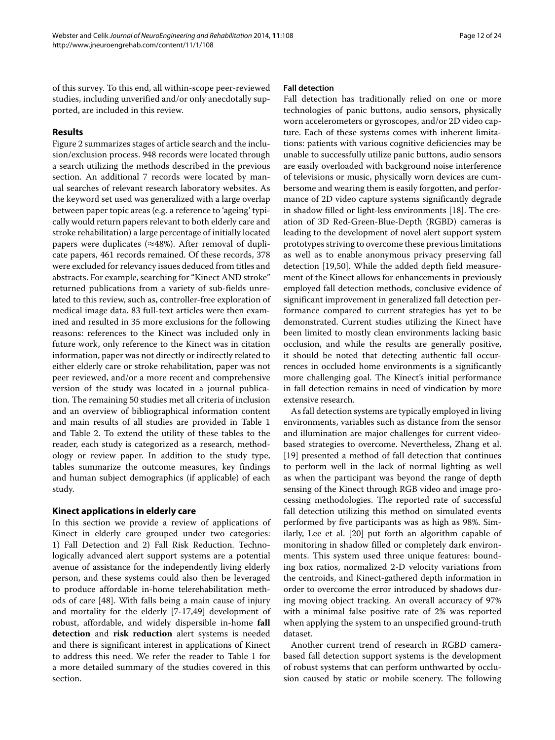of this survey. To this end, all within-scope peer-reviewed studies, including unverified and/or only anecdotally supported, are included in this review.

# **Results**

Figure [2](#page-12-0) summarizes stages of article search and the inclusion/exclusion process. 948 records were located through a search utilizing the methods described in the previous section. An additional 7 records were located by manual searches of relevant research laboratory websites. As the keyword set used was generalized with a large overlap between paper topic areas (e.g. a reference to 'ageing' typically would return papers relevant to both elderly care and stroke rehabilitation) a large percentage of initially located papers were duplicates ( $\approx$ 48%). After removal of duplicate papers, 461 records remained. Of these records, 378 were excluded for relevancy issues deduced from titles and abstracts. For example, searching for "Kinect AND stroke" returned publications from a variety of sub-fields unrelated to this review, such as, controller-free exploration of medical image data. 83 full-text articles were then examined and resulted in 35 more exclusions for the following reasons: references to the Kinect was included only in future work, only reference to the Kinect was in citation information, paper was not directly or indirectly related to either elderly care or stroke rehabilitation, paper was not peer reviewed, and/or a more recent and comprehensive version of the study was located in a journal publication. The remaining 50 studies met all criteria of inclusion and an overview of bibliographical information content and main results of all studies are provided in Table [1](#page-2-0) and Table [2.](#page-6-0) To extend the utility of these tables to the reader, each study is categorized as a research, methodology or review paper. In addition to the study type, tables summarize the outcome measures, key findings and human subject demographics (if applicable) of each study.

# **Kinect applications in elderly care**

In this section we provide a review of applications of Kinect in elderly care grouped under two categories: 1) Fall Detection and 2) Fall Risk Reduction. Technologically advanced alert support systems are a potential avenue of assistance for the independently living elderly person, and these systems could also then be leveraged to produce affordable in-home telerehabilitation methods of care [\[48\]](#page-22-2). With falls being a main cause of injury and mortality for the elderly [\[7](#page-21-2)[-17](#page-21-3)[,49\]](#page-22-3) development of robust, affordable, and widely dispersible in-home **fall detection** and **risk reduction** alert systems is needed and there is significant interest in applications of Kinect to address this need. We refer the reader to Table [1](#page-2-0) for a more detailed summary of the studies covered in this section.

#### <span id="page-11-0"></span>**Fall detection**

Fall detection has traditionally relied on one or more technologies of panic buttons, audio sensors, physically worn accelerometers or gyroscopes, and/or 2D video capture. Each of these systems comes with inherent limitations: patients with various cognitive deficiencies may be unable to successfully utilize panic buttons, audio sensors are easily overloaded with background noise interference of televisions or music, physically worn devices are cumbersome and wearing them is easily forgotten, and performance of 2D video capture systems significantly degrade in shadow filled or light-less environments [\[18\]](#page-21-4). The creation of 3D Red-Green-Blue-Depth (RGBD) cameras is leading to the development of novel alert support system prototypes striving to overcome these previous limitations as well as to enable anonymous privacy preserving fall detection [\[19,](#page-21-19)[50\]](#page-22-4). While the added depth field measurement of the Kinect allows for enhancements in previously employed fall detection methods, conclusive evidence of significant improvement in generalized fall detection performance compared to current strategies has yet to be demonstrated. Current studies utilizing the Kinect have been limited to mostly clean environments lacking basic occlusion, and while the results are generally positive, it should be noted that detecting authentic fall occurrences in occluded home environments is a significantly more challenging goal. The Kinect's initial performance in fall detection remains in need of vindication by more extensive research.

As fall detection systems are typically employed in living environments, variables such as distance from the sensor and illumination are major challenges for current videobased strategies to overcome. Nevertheless, Zhang et al. [\[19\]](#page-21-19) presented a method of fall detection that continues to perform well in the lack of normal lighting as well as when the participant was beyond the range of depth sensing of the Kinect through RGB video and image processing methodologies. The reported rate of successful fall detection utilizing this method on simulated events performed by five participants was as high as 98%. Similarly, Lee et al. [\[20\]](#page-21-20) put forth an algorithm capable of monitoring in shadow filled or completely dark environments. This system used three unique features: bounding box ratios, normalized 2-D velocity variations from the centroids, and Kinect-gathered depth information in order to overcome the error introduced by shadows during moving object tracking. An overall accuracy of 97% with a minimal false positive rate of 2% was reported when applying the system to an unspecified ground-truth dataset.

Another current trend of research in RGBD camerabased fall detection support systems is the development of robust systems that can perform unthwarted by occlusion caused by static or mobile scenery. The following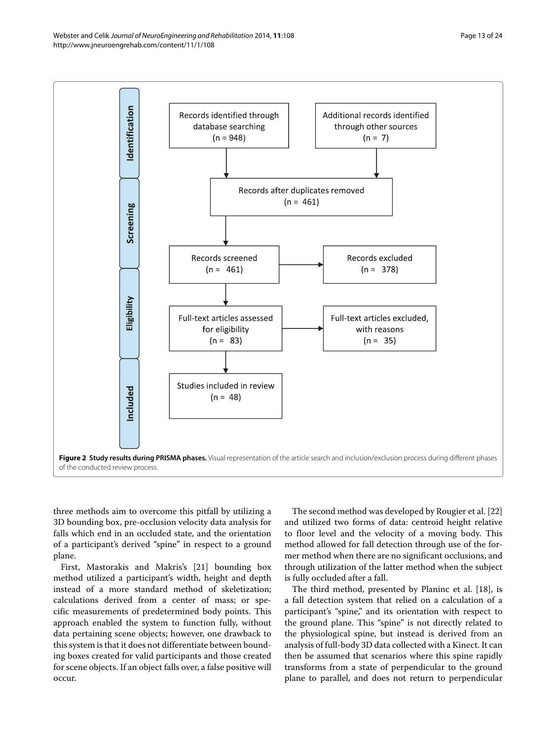

<span id="page-12-0"></span>three methods aim to overcome this pitfall by utilizing a 3D bounding box, pre-occlusion velocity data analysis for falls which end in an occluded state, and the orientation of a participant's derived "spine" in respect to a ground plane.

First, Mastorakis and Makris's [\[21\]](#page-21-21) bounding box method utilized a participant's width, height and depth instead of a more standard method of skeletization; calculations derived from a center of mass; or specific measurements of predetermined body points. This approach enabled the system to function fully, without data pertaining scene objects; however, one drawback to this system is that it does not differentiate between bounding boxes created for valid participants and those created for scene objects. If an object falls over, a false positive will occur.

The second method was developed by Rougier et al. [\[22\]](#page-21-5) and utilized two forms of data: centroid height relative to floor level and the velocity of a moving body. This method allowed for fall detection through use of the former method when there are no significant occlusions, and through utilization of the latter method when the subject is fully occluded after a fall.

The third method, presented by Planinc et al. [\[18\]](#page-21-4), is a fall detection system that relied on a calculation of a participant's "spine," and its orientation with respect to the ground plane. This "spine" is not directly related to the physiological spine, but instead is derived from an analysis of full-body 3D data collected with a Kinect. It can then be assumed that scenarios where this spine rapidly transforms from a state of perpendicular to the ground plane to parallel, and does not return to perpendicular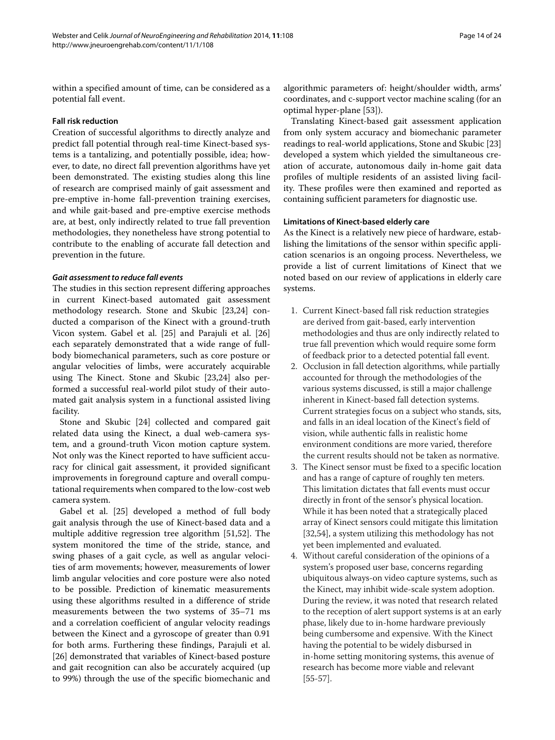within a specified amount of time, can be considered as a potential fall event.

# <span id="page-13-1"></span>**Fall risk reduction**

<span id="page-13-0"></span>Creation of successful algorithms to directly analyze and predict fall potential through real-time Kinect-based systems is a tantalizing, and potentially possible, idea; however, to date, no direct fall prevention algorithms have yet been demonstrated. The existing studies along this line of research are comprised mainly of gait assessment and pre-emptive in-home fall-prevention training exercises, and while gait-based and pre-emptive exercise methods are, at best, only indirectly related to true fall prevention methodologies, they nonetheless have strong potential to contribute to the enabling of accurate fall detection and prevention in the future.

# *Gait assessment to reduce fall events*

The studies in this section represent differing approaches in current Kinect-based automated gait assessment methodology research. Stone and Skubic [\[23](#page-21-6)[,24\]](#page-21-22) conducted a comparison of the Kinect with a ground-truth Vicon system. Gabel et al. [\[25\]](#page-21-23) and Parajuli et al. [\[26\]](#page-21-7) each separately demonstrated that a wide range of fullbody biomechanical parameters, such as core posture or angular velocities of limbs, were accurately acquirable using The Kinect. Stone and Skubic [\[23](#page-21-6)[,24\]](#page-21-22) also performed a successful real-world pilot study of their automated gait analysis system in a functional assisted living facility.

Stone and Skubic [\[24\]](#page-21-22) collected and compared gait related data using the Kinect, a dual web-camera system, and a ground-truth Vicon motion capture system. Not only was the Kinect reported to have sufficient accuracy for clinical gait assessment, it provided significant improvements in foreground capture and overall computational requirements when compared to the low-cost web camera system.

Gabel et al. [\[25\]](#page-21-23) developed a method of full body gait analysis through the use of Kinect-based data and a multiple additive regression tree algorithm [\[51,](#page-22-5)[52\]](#page-22-6). The system monitored the time of the stride, stance, and swing phases of a gait cycle, as well as angular velocities of arm movements; however, measurements of lower limb angular velocities and core posture were also noted to be possible. Prediction of kinematic measurements using these algorithms resulted in a difference of stride measurements between the two systems of 35–71 ms and a correlation coefficient of angular velocity readings between the Kinect and a gyroscope of greater than 0.91 for both arms. Furthering these findings, Parajuli et al. [\[26\]](#page-21-7) demonstrated that variables of Kinect-based posture and gait recognition can also be accurately acquired (up to 99%) through the use of the specific biomechanic and algorithmic parameters of: height/shoulder width, arms' coordinates, and c-support vector machine scaling (for an optimal hyper-plane [\[53\]](#page-22-7)).

Translating Kinect-based gait assessment application from only system accuracy and biomechanic parameter readings to real-world applications, Stone and Skubic [\[23\]](#page-21-6) developed a system which yielded the simultaneous creation of accurate, autonomous daily in-home gait data profiles of multiple residents of an assisted living facility. These profiles were then examined and reported as containing sufficient parameters for diagnostic use.

#### **Limitations of Kinect-based elderly care**

As the Kinect is a relatively new piece of hardware, establishing the limitations of the sensor within specific application scenarios is an ongoing process. Nevertheless, we provide a list of current limitations of Kinect that we noted based on our review of applications in elderly care systems.

- 1. Current Kinect-based fall risk reduction strategies are derived from gait-based, early intervention methodologies and thus are only indirectly related to true fall prevention which would require some form of feedback prior to a detected potential fall event.
- 2. Occlusion in fall detection algorithms, while partially accounted for through the methodologies of the various systems discussed, is still a major challenge inherent in Kinect-based fall detection systems. Current strategies focus on a subject who stands, sits, and falls in an ideal location of the Kinect's field of vision, while authentic falls in realistic home environment conditions are more varied, therefore the current results should not be taken as normative.
- 3. The Kinect sensor must be fixed to a specific location and has a range of capture of roughly ten meters. This limitation dictates that fall events must occur directly in front of the sensor's physical location. While it has been noted that a strategically placed array of Kinect sensors could mitigate this limitation [\[32,](#page-21-9)[54\]](#page-22-8), a system utilizing this methodology has not yet been implemented and evaluated.
- 4. Without careful consideration of the opinions of a system's proposed user base, concerns regarding ubiquitous always-on video capture systems, such as the Kinect, may inhibit wide-scale system adoption. During the review, it was noted that research related to the reception of alert support systems is at an early phase, likely due to in-home hardware previously being cumbersome and expensive. With the Kinect having the potential to be widely disbursed in in-home setting monitoring systems, this avenue of research has become more viable and relevant [\[55-](#page-22-9)[57\]](#page-22-10).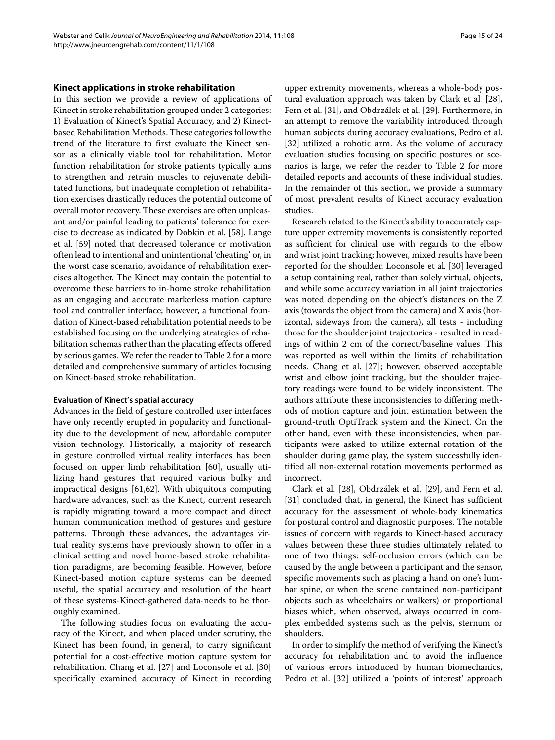### **Kinect applications in stroke rehabilitation**

In this section we provide a review of applications of Kinect in stroke rehabilitation grouped under 2 categories: 1) Evaluation of Kinect's Spatial Accuracy, and 2) Kinectbased Rehabilitation Methods. These categories follow the trend of the literature to first evaluate the Kinect sensor as a clinically viable tool for rehabilitation. Motor function rehabilitation for stroke patients typically aims to strengthen and retrain muscles to rejuvenate debilitated functions, but inadequate completion of rehabilitation exercises drastically reduces the potential outcome of overall motor recovery. These exercises are often unpleasant and/or painful leading to patients' tolerance for exercise to decrease as indicated by Dobkin et al. [\[58\]](#page-22-11). Lange et al. [\[59\]](#page-22-12) noted that decreased tolerance or motivation often lead to intentional and unintentional 'cheating' or, in the worst case scenario, avoidance of rehabilitation exercises altogether. The Kinect may contain the potential to overcome these barriers to in-home stroke rehabilitation as an engaging and accurate markerless motion capture tool and controller interface; however, a functional foundation of Kinect-based rehabilitation potential needs to be established focusing on the underlying strategies of rehabilitation schemas rather than the placating effects offered by serious games. We refer the reader to Table [2](#page-6-0) for a more detailed and comprehensive summary of articles focusing on Kinect-based stroke rehabilitation.

#### <span id="page-14-0"></span>**Evaluation of Kinect's spatial accuracy**

Advances in the field of gesture controlled user interfaces have only recently erupted in popularity and functionality due to the development of new, affordable computer vision technology. Historically, a majority of research in gesture controlled virtual reality interfaces has been focused on upper limb rehabilitation [\[60\]](#page-22-13), usually utilizing hand gestures that required various bulky and impractical designs [\[61](#page-22-14)[,62\]](#page-22-15). With ubiquitous computing hardware advances, such as the Kinect, current research is rapidly migrating toward a more compact and direct human communication method of gestures and gesture patterns. Through these advances, the advantages virtual reality systems have previously shown to offer in a clinical setting and novel home-based stroke rehabilitation paradigms, are becoming feasible. However, before Kinect-based motion capture systems can be deemed useful, the spatial accuracy and resolution of the heart of these systems-Kinect-gathered data-needs to be thoroughly examined.

The following studies focus on evaluating the accuracy of the Kinect, and when placed under scrutiny, the Kinect has been found, in general, to carry significant potential for a cost-effective motion capture system for rehabilitation. Chang et al. [\[27\]](#page-21-8) and Loconsole et al. [\[30\]](#page-21-24) specifically examined accuracy of Kinect in recording upper extremity movements, whereas a whole-body postural evaluation approach was taken by Clark et al. [\[28\]](#page-21-25), Fern et al. [\[31\]](#page-21-26), and Obdrzálek et al. [\[29\]](#page-21-27). Furthermore, in an attempt to remove the variability introduced through human subjects during accuracy evaluations, Pedro et al. [\[32\]](#page-21-9) utilized a robotic arm. As the volume of accuracy evaluation studies focusing on specific postures or scenarios is large, we refer the reader to Table [2](#page-6-0) for more detailed reports and accounts of these individual studies. In the remainder of this section, we provide a summary of most prevalent results of Kinect accuracy evaluation studies.

Research related to the Kinect's ability to accurately capture upper extremity movements is consistently reported as sufficient for clinical use with regards to the elbow and wrist joint tracking; however, mixed results have been reported for the shoulder. Loconsole et al. [\[30\]](#page-21-24) leveraged a setup containing real, rather than solely virtual, objects, and while some accuracy variation in all joint trajectories was noted depending on the object's distances on the Z axis (towards the object from the camera) and X axis (horizontal, sideways from the camera), all tests - including those for the shoulder joint trajectories - resulted in readings of within 2 cm of the correct/baseline values. This was reported as well within the limits of rehabilitation needs. Chang et al. [\[27\]](#page-21-8); however, observed acceptable wrist and elbow joint tracking, but the shoulder trajectory readings were found to be widely inconsistent. The authors attribute these inconsistencies to differing methods of motion capture and joint estimation between the ground-truth OptiTrack system and the Kinect. On the other hand, even with these inconsistencies, when participants were asked to utilize external rotation of the shoulder during game play, the system successfully identified all non-external rotation movements performed as incorrect.

Clark et al. [\[28\]](#page-21-25), Obdrzálek et al. [\[29\]](#page-21-27), and Fern et al. [\[31\]](#page-21-26) concluded that, in general, the Kinect has sufficient accuracy for the assessment of whole-body kinematics for postural control and diagnostic purposes. The notable issues of concern with regards to Kinect-based accuracy values between these three studies ultimately related to one of two things: self-occlusion errors (which can be caused by the angle between a participant and the sensor, specific movements such as placing a hand on one's lumbar spine, or when the scene contained non-participant objects such as wheelchairs or walkers) or proportional biases which, when observed, always occurred in complex embedded systems such as the pelvis, sternum or shoulders.

In order to simplify the method of verifying the Kinect's accuracy for rehabilitation and to avoid the influence of various errors introduced by human biomechanics, Pedro et al. [\[32\]](#page-21-9) utilized a 'points of interest' approach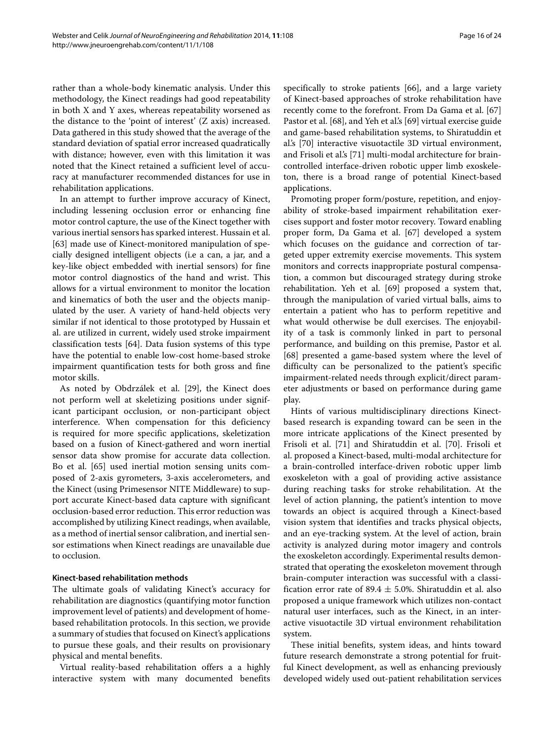rather than a whole-body kinematic analysis. Under this methodology, the Kinect readings had good repeatability in both X and Y axes, whereas repeatability worsened as the distance to the 'point of interest' (Z axis) increased. Data gathered in this study showed that the average of the standard deviation of spatial error increased quadratically with distance; however, even with this limitation it was noted that the Kinect retained a sufficient level of accuracy at manufacturer recommended distances for use in rehabilitation applications.

In an attempt to further improve accuracy of Kinect, including lessening occlusion error or enhancing fine motor control capture, the use of the Kinect together with various inertial sensors has sparked interest. Hussain et al. [\[63\]](#page-22-16) made use of Kinect-monitored manipulation of specially designed intelligent objects (i.e a can, a jar, and a key-like object embedded with inertial sensors) for fine motor control diagnostics of the hand and wrist. This allows for a virtual environment to monitor the location and kinematics of both the user and the objects manipulated by the user. A variety of hand-held objects very similar if not identical to those prototyped by Hussain et al. are utilized in current, widely used stroke impairment classification tests [\[64\]](#page-22-17). Data fusion systems of this type have the potential to enable low-cost home-based stroke impairment quantification tests for both gross and fine motor skills.

As noted by Obdrzálek et al. [\[29\]](#page-21-27), the Kinect does not perform well at skeletizing positions under significant participant occlusion, or non-participant object interference. When compensation for this deficiency is required for more specific applications, skeletization based on a fusion of Kinect-gathered and worn inertial sensor data show promise for accurate data collection. Bo et al. [\[65\]](#page-22-18) used inertial motion sensing units composed of 2-axis gyrometers, 3-axis accelerometers, and the Kinect (using Primesensor NITE Middleware) to support accurate Kinect-based data capture with significant occlusion-based error reduction. This error reduction was accomplished by utilizing Kinect readings, when available, as a method of inertial sensor calibration, and inertial sensor estimations when Kinect readings are unavailable due to occlusion.

#### <span id="page-15-0"></span>**Kinect-based rehabilitation methods**

The ultimate goals of validating Kinect's accuracy for rehabilitation are diagnostics (quantifying motor function improvement level of patients) and development of homebased rehabilitation protocols. In this section, we provide a summary of studies that focused on Kinect's applications to pursue these goals, and their results on provisionary physical and mental benefits.

Virtual reality-based rehabilitation offers a a highly interactive system with many documented benefits

specifically to stroke patients [\[66\]](#page-22-19), and a large variety of Kinect-based approaches of stroke rehabilitation have recently come to the forefront. From Da Gama et al. [\[67\]](#page-22-20) Pastor et al. [\[68\]](#page-22-21), and Yeh et al's [\[69\]](#page-22-22) virtual exercise guide and game-based rehabilitation systems, to Shiratuddin et al.'s [\[70\]](#page-22-23) interactive visuotactile 3D virtual environment, and Frisoli et al.'s [\[71\]](#page-22-24) multi-modal architecture for braincontrolled interface-driven robotic upper limb exoskeleton, there is a broad range of potential Kinect-based applications.

Promoting proper form/posture, repetition, and enjoyability of stroke-based impairment rehabilitation exercises support and foster motor recovery. Toward enabling proper form, Da Gama et al. [\[67\]](#page-22-20) developed a system which focuses on the guidance and correction of targeted upper extremity exercise movements. This system monitors and corrects inappropriate postural compensation, a common but discouraged strategy during stroke rehabilitation. Yeh et al. [\[69\]](#page-22-22) proposed a system that, through the manipulation of varied virtual balls, aims to entertain a patient who has to perform repetitive and what would otherwise be dull exercises. The enjoyability of a task is commonly linked in part to personal performance, and building on this premise, Pastor et al. [\[68\]](#page-22-21) presented a game-based system where the level of difficulty can be personalized to the patient's specific impairment-related needs through explicit/direct parameter adjustments or based on performance during game play.

Hints of various multidisciplinary directions Kinectbased research is expanding toward can be seen in the more intricate applications of the Kinect presented by Frisoli et al. [\[71\]](#page-22-24) and Shiratuddin et al. [\[70\]](#page-22-23). Frisoli et al. proposed a Kinect-based, multi-modal architecture for a brain-controlled interface-driven robotic upper limb exoskeleton with a goal of providing active assistance during reaching tasks for stroke rehabilitation. At the level of action planning, the patient's intention to move towards an object is acquired through a Kinect-based vision system that identifies and tracks physical objects, and an eye-tracking system. At the level of action, brain activity is analyzed during motor imagery and controls the exoskeleton accordingly. Experimental results demonstrated that operating the exoskeleton movement through brain-computer interaction was successful with a classification error rate of 89.4  $\pm$  5.0%. Shiratuddin et al. also proposed a unique framework which utilizes non-contact natural user interfaces, such as the Kinect, in an interactive visuotactile 3D virtual environment rehabilitation system.

These initial benefits, system ideas, and hints toward future research demonstrate a strong potential for fruitful Kinect development, as well as enhancing previously developed widely used out-patient rehabilitation services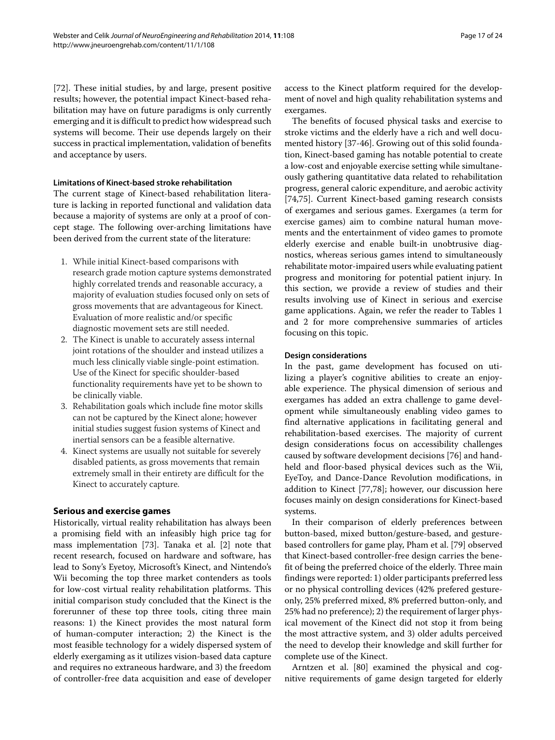[\[72\]](#page-22-25). These initial studies, by and large, present positive results; however, the potential impact Kinect-based rehabilitation may have on future paradigms is only currently emerging and it is difficult to predict how widespread such systems will become. Their use depends largely on their success in practical implementation, validation of benefits and acceptance by users.

#### **Limitations of Kinect-based stroke rehabilitation**

The current stage of Kinect-based rehabilitation literature is lacking in reported functional and validation data because a majority of systems are only at a proof of concept stage. The following over-arching limitations have been derived from the current state of the literature:

- 1. While initial Kinect-based comparisons with research grade motion capture systems demonstrated highly correlated trends and reasonable accuracy, a majority of evaluation studies focused only on sets of gross movements that are advantageous for Kinect. Evaluation of more realistic and/or specific diagnostic movement sets are still needed.
- 2. The Kinect is unable to accurately assess internal joint rotations of the shoulder and instead utilizes a much less clinically viable single-point estimation. Use of the Kinect for specific shoulder-based functionality requirements have yet to be shown to be clinically viable.
- 3. Rehabilitation goals which include fine motor skills can not be captured by the Kinect alone; however initial studies suggest fusion systems of Kinect and inertial sensors can be a feasible alternative.
- 4. Kinect systems are usually not suitable for severely disabled patients, as gross movements that remain extremely small in their entirety are difficult for the Kinect to accurately capture.

# <span id="page-16-0"></span>**Serious and exercise games**

Historically, virtual reality rehabilitation has always been a promising field with an infeasibly high price tag for mass implementation [\[73\]](#page-22-26). Tanaka et al. [\[2\]](#page-21-1) note that recent research, focused on hardware and software, has lead to Sony's Eyetoy, Microsoft's Kinect, and Nintendo's Wii becoming the top three market contenders as tools for low-cost virtual reality rehabilitation platforms. This initial comparison study concluded that the Kinect is the forerunner of these top three tools, citing three main reasons: 1) the Kinect provides the most natural form of human-computer interaction; 2) the Kinect is the most feasible technology for a widely dispersed system of elderly exergaming as it utilizes vision-based data capture and requires no extraneous hardware, and 3) the freedom of controller-free data acquisition and ease of developer

access to the Kinect platform required for the development of novel and high quality rehabilitation systems and exergames.

The benefits of focused physical tasks and exercise to stroke victims and the elderly have a rich and well documented history [\[37-](#page-21-14)[46\]](#page-22-0). Growing out of this solid foundation, Kinect-based gaming has notable potential to create a low-cost and enjoyable exercise setting while simultaneously gathering quantitative data related to rehabilitation progress, general caloric expenditure, and aerobic activity [\[74,](#page-22-27)[75\]](#page-22-28). Current Kinect-based gaming research consists of exergames and serious games. Exergames (a term for exercise games) aim to combine natural human movements and the entertainment of video games to promote elderly exercise and enable built-in unobtrusive diagnostics, whereas serious games intend to simultaneously rehabilitate motor-impaired users while evaluating patient progress and monitoring for potential patient injury. In this section, we provide a review of studies and their results involving use of Kinect in serious and exercise game applications. Again, we refer the reader to Tables [1](#page-2-0) and [2](#page-6-0) for more comprehensive summaries of articles focusing on this topic.

# **Design considerations**

In the past, game development has focused on utilizing a player's cognitive abilities to create an enjoyable experience. The physical dimension of serious and exergames has added an extra challenge to game development while simultaneously enabling video games to find alternative applications in facilitating general and rehabilitation-based exercises. The majority of current design considerations focus on accessibility challenges caused by software development decisions [\[76\]](#page-22-29) and handheld and floor-based physical devices such as the Wii, EyeToy, and Dance-Dance Revolution modifications, in addition to Kinect [\[77,](#page-22-30)[78\]](#page-22-31); however, our discussion here focuses mainly on design considerations for Kinect-based systems.

In their comparison of elderly preferences between button-based, mixed button/gesture-based, and gesturebased controllers for game play, Pham et al. [\[79\]](#page-22-32) observed that Kinect-based controller-free design carries the benefit of being the preferred choice of the elderly. Three main findings were reported: 1) older participants preferred less or no physical controlling devices (42% prefered gestureonly, 25% preferred mixed, 8% preferred button-only, and 25% had no preference); 2) the requirement of larger physical movement of the Kinect did not stop it from being the most attractive system, and 3) older adults perceived the need to develop their knowledge and skill further for complete use of the Kinect.

Arntzen et al. [\[80\]](#page-23-0) examined the physical and cognitive requirements of game design targeted for elderly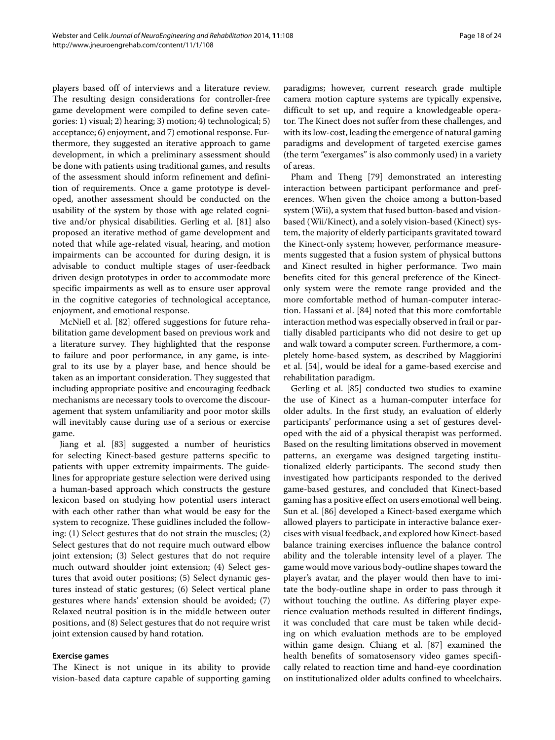players based off of interviews and a literature review. The resulting design considerations for controller-free game development were compiled to define seven categories: 1) visual; 2) hearing; 3) motion; 4) technological; 5) acceptance; 6) enjoyment, and 7) emotional response. Furthermore, they suggested an iterative approach to game development, in which a preliminary assessment should be done with patients using traditional games, and results of the assessment should inform refinement and definition of requirements. Once a game prototype is developed, another assessment should be conducted on the usability of the system by those with age related cognitive and/or physical disabilities. Gerling et al. [\[81\]](#page-23-1) also proposed an iterative method of game development and noted that while age-related visual, hearing, and motion impairments can be accounted for during design, it is advisable to conduct multiple stages of user-feedback driven design prototypes in order to accommodate more specific impairments as well as to ensure user approval in the cognitive categories of technological acceptance, enjoyment, and emotional response.

McNiell et al. [\[82\]](#page-23-2) offered suggestions for future rehabilitation game development based on previous work and a literature survey. They highlighted that the response to failure and poor performance, in any game, is integral to its use by a player base, and hence should be taken as an important consideration. They suggested that including appropriate positive and encouraging feedback mechanisms are necessary tools to overcome the discouragement that system unfamiliarity and poor motor skills will inevitably cause during use of a serious or exercise game.

Jiang et al. [\[83\]](#page-23-3) suggested a number of heuristics for selecting Kinect-based gesture patterns specific to patients with upper extremity impairments. The guidelines for appropriate gesture selection were derived using a human-based approach which constructs the gesture lexicon based on studying how potential users interact with each other rather than what would be easy for the system to recognize. These guidlines included the following: (1) Select gestures that do not strain the muscles; (2) Select gestures that do not require much outward elbow joint extension; (3) Select gestures that do not require much outward shoulder joint extension; (4) Select gestures that avoid outer positions; (5) Select dynamic gestures instead of static gestures; (6) Select vertical plane gestures where hands' extension should be avoided; (7) Relaxed neutral position is in the middle between outer positions, and (8) Select gestures that do not require wrist joint extension caused by hand rotation.

# **Exercise games**

The Kinect is not unique in its ability to provide vision-based data capture capable of supporting gaming paradigms; however, current research grade multiple camera motion capture systems are typically expensive, difficult to set up, and require a knowledgeable operator. The Kinect does not suffer from these challenges, and with its low-cost, leading the emergence of natural gaming paradigms and development of targeted exercise games (the term "exergames" is also commonly used) in a variety of areas.

Pham and Theng [\[79\]](#page-22-32) demonstrated an interesting interaction between participant performance and preferences. When given the choice among a button-based system (Wii), a system that fused button-based and visionbased (Wii/Kinect), and a solely vision-based (Kinect) system, the majority of elderly participants gravitated toward the Kinect-only system; however, performance measurements suggested that a fusion system of physical buttons and Kinect resulted in higher performance. Two main benefits cited for this general preference of the Kinectonly system were the remote range provided and the more comfortable method of human-computer interaction. Hassani et al. [\[84\]](#page-23-4) noted that this more comfortable interaction method was especially observed in frail or partially disabled participants who did not desire to get up and walk toward a computer screen. Furthermore, a completely home-based system, as described by Maggiorini et al. [\[54\]](#page-22-8), would be ideal for a game-based exercise and rehabilitation paradigm.

Gerling et al. [\[85\]](#page-23-5) conducted two studies to examine the use of Kinect as a human-computer interface for older adults. In the first study, an evaluation of elderly participants' performance using a set of gestures developed with the aid of a physical therapist was performed. Based on the resulting limitations observed in movement patterns, an exergame was designed targeting institutionalized elderly participants. The second study then investigated how participants responded to the derived game-based gestures, and concluded that Kinect-based gaming has a positive effect on users emotional well being. Sun et al. [\[86\]](#page-23-6) developed a Kinect-based exergame which allowed players to participate in interactive balance exercises with visual feedback, and explored how Kinect-based balance training exercises influence the balance control ability and the tolerable intensity level of a player. The game would move various body-outline shapes toward the player's avatar, and the player would then have to imitate the body-outline shape in order to pass through it without touching the outline. As differing player experience evaluation methods resulted in different findings, it was concluded that care must be taken while deciding on which evaluation methods are to be employed within game design. Chiang et al. [\[87\]](#page-23-7) examined the health benefits of somatosensory video games specifically related to reaction time and hand-eye coordination on institutionalized older adults confined to wheelchairs.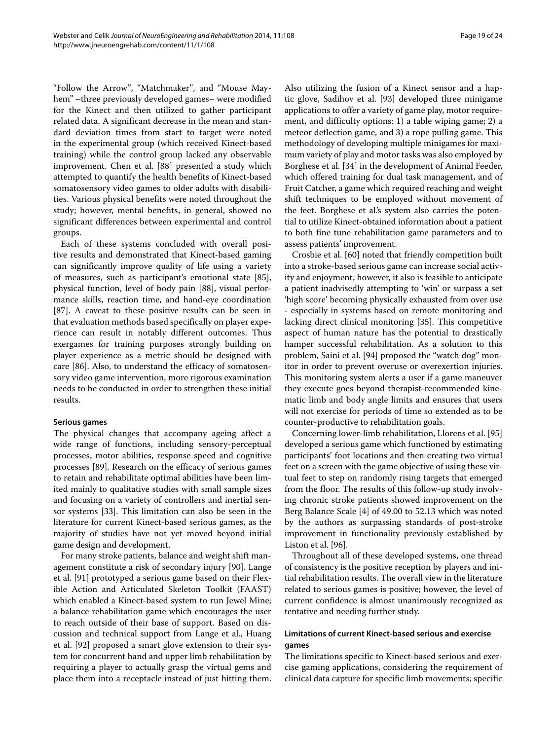"Follow the Arrow", "Matchmaker", and "Mouse Mayhem" –three previously developed games– were modified for the Kinect and then utilized to gather participant related data. A significant decrease in the mean and standard deviation times from start to target were noted in the experimental group (which received Kinect-based training) while the control group lacked any observable improvement. Chen et al. [\[88\]](#page-23-8) presented a study which attempted to quantify the health benefits of Kinect-based somatosensory video games to older adults with disabilities. Various physical benefits were noted throughout the study; however, mental benefits, in general, showed no significant differences between experimental and control groups.

Each of these systems concluded with overall positive results and demonstrated that Kinect-based gaming can significantly improve quality of life using a variety of measures, such as participant's emotional state [\[85\]](#page-23-5), physical function, level of body pain [\[88\]](#page-23-8), visual performance skills, reaction time, and hand-eye coordination [\[87\]](#page-23-7). A caveat to these positive results can be seen in that evaluation methods based specifically on player experience can result in notably different outcomes. Thus exergames for training purposes strongly building on player experience as a metric should be designed with care [\[86\]](#page-23-6). Also, to understand the efficacy of somatosensory video game intervention, more rigorous examination needs to be conducted in order to strengthen these initial results.

#### **Serious games**

The physical changes that accompany ageing affect a wide range of functions, including sensory-perceptual processes, motor abilities, response speed and cognitive processes [\[89\]](#page-23-9). Research on the efficacy of serious games to retain and rehabilitate optimal abilities have been limited mainly to qualitative studies with small sample sizes and focusing on a variety of controllers and inertial sensor systems [\[33\]](#page-21-10). This limitation can also be seen in the literature for current Kinect-based serious games, as the majority of studies have not yet moved beyond initial game design and development.

For many stroke patients, balance and weight shift management constitute a risk of secondary injury [\[90\]](#page-23-10). Lange et al. [\[91\]](#page-23-11) prototyped a serious game based on their Flexible Action and Articulated Skeleton Toolkit (FAAST) which enabled a Kinect-based system to run Jewel Mine; a balance rehabilitation game which encourages the user to reach outside of their base of support. Based on discussion and technical support from Lange et al., Huang et al. [\[92\]](#page-23-12) proposed a smart glove extension to their system for concurrent hand and upper limb rehabilitation by requiring a player to actually grasp the virtual gems and place them into a receptacle instead of just hitting them. Also utilizing the fusion of a Kinect sensor and a haptic glove, Sadihov et al. [\[93\]](#page-23-13) developed three minigame applications to offer a variety of game play, motor requirement, and difficulty options: 1) a table wiping game; 2) a meteor deflection game, and 3) a rope pulling game. This methodology of developing multiple minigames for maximum variety of play and motor tasks was also employed by Borghese et al. [\[34\]](#page-21-11) in the development of Animal Feeder, which offered training for dual task management, and of Fruit Catcher, a game which required reaching and weight shift techniques to be employed without movement of the feet. Borghese et al.'s system also carries the potential to utilize Kinect-obtained information about a patient to both fine tune rehabilitation game parameters and to assess patients' improvement.

Crosbie et al. [\[60\]](#page-22-13) noted that friendly competition built into a stroke-based serious game can increase social activity and enjoyment; however, it also is feasible to anticipate a patient inadvisedly attempting to 'win' or surpass a set 'high score' becoming physically exhausted from over use - especially in systems based on remote monitoring and lacking direct clinical monitoring [\[35\]](#page-21-12). This competitive aspect of human nature has the potential to drastically hamper successful rehabilitation. As a solution to this problem, Saini et al. [\[94\]](#page-23-14) proposed the "watch dog" monitor in order to prevent overuse or overexertion injuries. This monitoring system alerts a user if a game maneuver they execute goes beyond therapist-recommended kinematic limb and body angle limits and ensures that users will not exercise for periods of time so extended as to be counter-productive to rehabilitation goals.

Concerning lower-limb rehabilitation, Llorens et al. [\[95\]](#page-23-15) developed a serious game which functioned by estimating participants' foot locations and then creating two virtual feet on a screen with the game objective of using these virtual feet to step on randomly rising targets that emerged from the floor. The results of this follow-up study involving chronic stroke patients showed improvement on the Berg Balance Scale [\[4\]](#page-21-16) of 49.00 to 52.13 which was noted by the authors as surpassing standards of post-stroke improvement in functionality previously established by Liston et al. [\[96\]](#page-23-16).

Throughout all of these developed systems, one thread of consistency is the positive reception by players and initial rehabilitation results. The overall view in the literature related to serious games is positive; however, the level of current confidence is almost unanimously recognized as tentative and needing further study.

# **Limitations of current Kinect-based serious and exercise games**

The limitations specific to Kinect-based serious and exercise gaming applications, considering the requirement of clinical data capture for specific limb movements; specific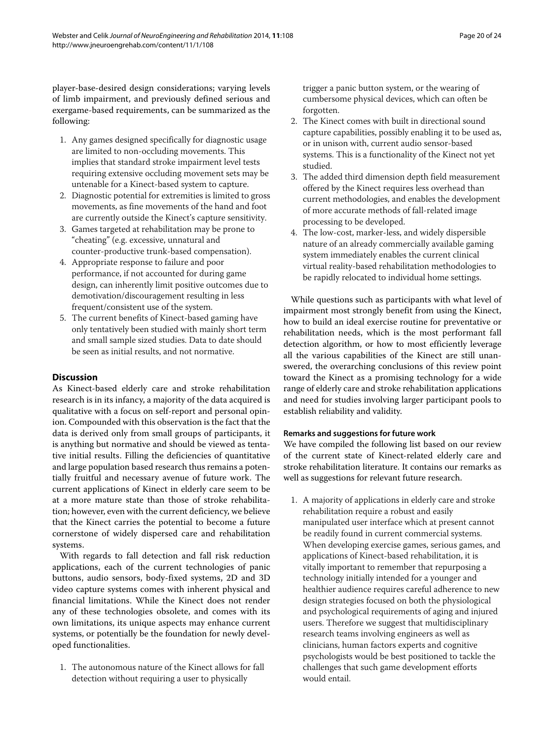player-base-desired design considerations; varying levels of limb impairment, and previously defined serious and exergame-based requirements, can be summarized as the following:

- 1. Any games designed specifically for diagnostic usage are limited to non-occluding movements. This implies that standard stroke impairment level tests requiring extensive occluding movement sets may be untenable for a Kinect-based system to capture.
- 2. Diagnostic potential for extremities is limited to gross movements, as fine movements of the hand and foot are currently outside the Kinect's capture sensitivity.
- 3. Games targeted at rehabilitation may be prone to "cheating" (e.g. excessive, unnatural and counter-productive trunk-based compensation).
- 4. Appropriate response to failure and poor performance, if not accounted for during game design, can inherently limit positive outcomes due to demotivation/discouragement resulting in less frequent/consistent use of the system.
- 5. The current benefits of Kinect-based gaming have only tentatively been studied with mainly short term and small sample sized studies. Data to date should be seen as initial results, and not normative.

# **Discussion**

As Kinect-based elderly care and stroke rehabilitation research is in its infancy, a majority of the data acquired is qualitative with a focus on self-report and personal opinion. Compounded with this observation is the fact that the data is derived only from small groups of participants, it is anything but normative and should be viewed as tentative initial results. Filling the deficiencies of quantitative and large population based research thus remains a potentially fruitful and necessary avenue of future work. The current applications of Kinect in elderly care seem to be at a more mature state than those of stroke rehabilitation; however, even with the current deficiency, we believe that the Kinect carries the potential to become a future cornerstone of widely dispersed care and rehabilitation systems.

With regards to fall detection and fall risk reduction applications, each of the current technologies of panic buttons, audio sensors, body-fixed systems, 2D and 3D video capture systems comes with inherent physical and financial limitations. While the Kinect does not render any of these technologies obsolete, and comes with its own limitations, its unique aspects may enhance current systems, or potentially be the foundation for newly developed functionalities.

1. The autonomous nature of the Kinect allows for fall detection without requiring a user to physically

trigger a panic button system, or the wearing of cumbersome physical devices, which can often be forgotten.

- 2. The Kinect comes with built in directional sound capture capabilities, possibly enabling it to be used as, or in unison with, current audio sensor-based systems. This is a functionality of the Kinect not yet studied.
- 3. The added third dimension depth field measurement offered by the Kinect requires less overhead than current methodologies, and enables the development of more accurate methods of fall-related image processing to be developed.
- 4. The low-cost, marker-less, and widely dispersible nature of an already commercially available gaming system immediately enables the current clinical virtual reality-based rehabilitation methodologies to be rapidly relocated to individual home settings.

While questions such as participants with what level of impairment most strongly benefit from using the Kinect, how to build an ideal exercise routine for preventative or rehabilitation needs, which is the most performant fall detection algorithm, or how to most efficiently leverage all the various capabilities of the Kinect are still unanswered, the overarching conclusions of this review point toward the Kinect as a promising technology for a wide range of elderly care and stroke rehabilitation applications and need for studies involving larger participant pools to establish reliability and validity.

# **Remarks and suggestions for future work**

We have compiled the following list based on our review of the current state of Kinect-related elderly care and stroke rehabilitation literature. It contains our remarks as well as suggestions for relevant future research.

1. A majority of applications in elderly care and stroke rehabilitation require a robust and easily manipulated user interface which at present cannot be readily found in current commercial systems. When developing exercise games, serious games, and applications of Kinect-based rehabilitation, it is vitally important to remember that repurposing a technology initially intended for a younger and healthier audience requires careful adherence to new design strategies focused on both the physiological and psychological requirements of aging and injured users. Therefore we suggest that multidisciplinary research teams involving engineers as well as clinicians, human factors experts and cognitive psychologists would be best positioned to tackle the challenges that such game development efforts would entail.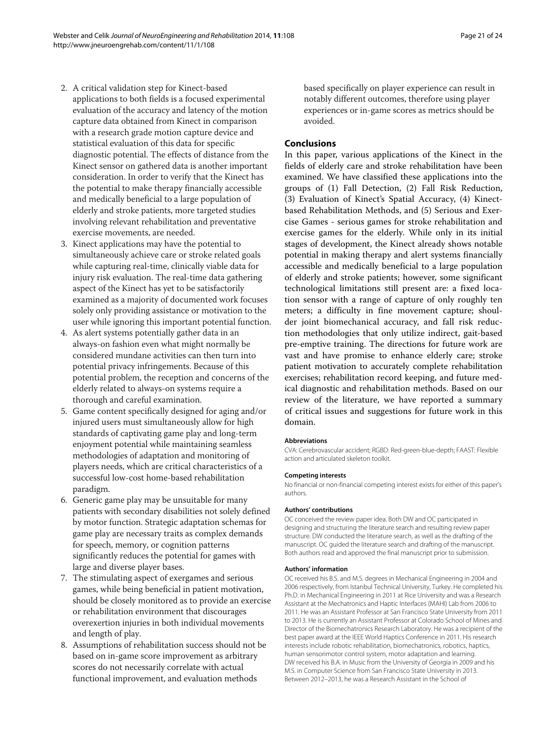- 2. A critical validation step for Kinect-based applications to both fields is a focused experimental evaluation of the accuracy and latency of the motion capture data obtained from Kinect in comparison with a research grade motion capture device and statistical evaluation of this data for specific diagnostic potential. The effects of distance from the Kinect sensor on gathered data is another important consideration. In order to verify that the Kinect has the potential to make therapy financially accessible and medically beneficial to a large population of elderly and stroke patients, more targeted studies involving relevant rehabilitation and preventative exercise movements, are needed.
- 3. Kinect applications may have the potential to simultaneously achieve care or stroke related goals while capturing real-time, clinically viable data for injury risk evaluation. The real-time data gathering aspect of the Kinect has yet to be satisfactorily examined as a majority of documented work focuses solely only providing assistance or motivation to the user while ignoring this important potential function.
- 4. As alert systems potentially gather data in an always-on fashion even what might normally be considered mundane activities can then turn into potential privacy infringements. Because of this potential problem, the reception and concerns of the elderly related to always-on systems require a thorough and careful examination.
- 5. Game content specifically designed for aging and/or injured users must simultaneously allow for high standards of captivating game play and long-term enjoyment potential while maintaining seamless methodologies of adaptation and monitoring of players needs, which are critical characteristics of a successful low-cost home-based rehabilitation paradigm.
- 6. Generic game play may be unsuitable for many patients with secondary disabilities not solely defined by motor function. Strategic adaptation schemas for game play are necessary traits as complex demands for speech, memory, or cognition patterns significantly reduces the potential for games with large and diverse player bases.
- 7. The stimulating aspect of exergames and serious games, while being beneficial in patient motivation, should be closely monitored as to provide an exercise or rehabilitation environment that discourages overexertion injuries in both individual movements and length of play.
- 8. Assumptions of rehabilitation success should not be based on in-game score improvement as arbitrary scores do not necessarily correlate with actual functional improvement, and evaluation methods

based specifically on player experience can result in notably different outcomes, therefore using player experiences or in-game scores as metrics should be avoided.

# **Conclusions**

In this paper, various applications of the Kinect in the fields of elderly care and stroke rehabilitation have been examined. We have classified these applications into the groups of (1) Fall Detection, (2) Fall Risk Reduction, (3) Evaluation of Kinect's Spatial Accuracy, (4) Kinectbased Rehabilitation Methods, and (5) Serious and Exercise Games - serious games for stroke rehabilitation and exercise games for the elderly. While only in its initial stages of development, the Kinect already shows notable potential in making therapy and alert systems financially accessible and medically beneficial to a large population of elderly and stroke patients; however, some significant technological limitations still present are: a fixed location sensor with a range of capture of only roughly ten meters; a difficulty in fine movement capture; shoulder joint biomechanical accuracy, and fall risk reduction methodologies that only utilize indirect, gait-based pre-emptive training. The directions for future work are vast and have promise to enhance elderly care; stroke patient motivation to accurately complete rehabilitation exercises; rehabilitation record keeping, and future medical diagnostic and rehabilitation methods. Based on our review of the literature, we have reported a summary of critical issues and suggestions for future work in this domain.

# **Abbreviations**

CVA: Cerebrovascular accident; RGBD: Red-green-blue-depth; FAAST: Flexible action and articulated skeleton toolkit.

#### **Competing interests**

No financial or non-financial competing interest exists for either of this paper's authors.

# **Authors' contributions**

OC conceived the review paper idea. Both DW and OC participated in designing and structuring the literature search and resulting review paper structure. DW conducted the literature search, as well as the drafting of the manuscript. OC guided the literature search and drafting of the manuscript. Both authors read and approved the final manuscript prior to submission.

#### **Authors' information**

OC received his B.S. and M.S. degrees in Mechanical Engineering in 2004 and 2006 respectively, from Istanbul Technical University, Turkey. He completed his Ph.D. in Mechanical Engineering in 2011 at Rice University and was a Research Assistant at the Mechatronics and Haptic Interfaces (MAHI) Lab from 2006 to 2011. He was an Assistant Professor at San Francisco State University from 2011 to 2013. He is currently an Assistant Professor at Colorado School of Mines and Director of the Biomechatronics Research Laboratory. He was a recipient of the best paper award at the IEEE World Haptics Conference in 2011. His research interests include robotic rehabilitation, biomechatronics, robotics, haptics, human sensorimotor control system, motor adaptation and learning. DW received his B.A. in Music from the University of Georgia in 2009 and his M.S. in Computer Science from San Francisco State University in 2013. Between 2012–2013, he was a Research Assistant in the School of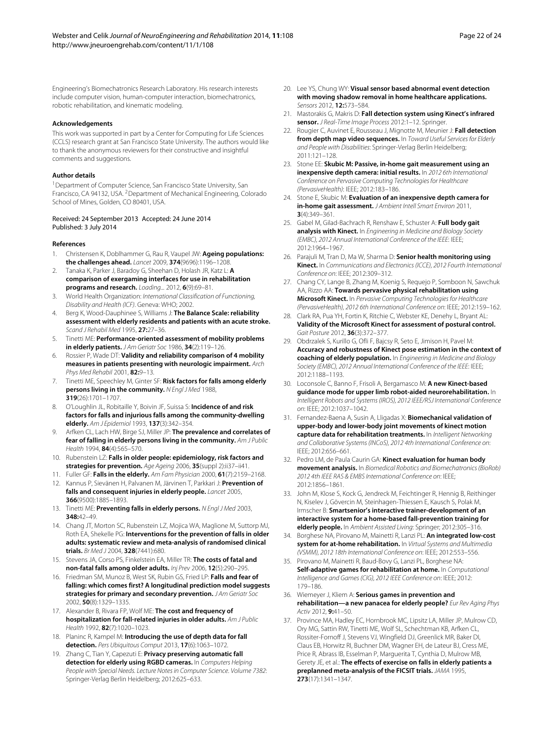Engineering's Biomechatronics Research Laboratory. His research interests include computer vision, human-computer interaction, biomechatronics, robotic rehabilitation, and kinematic modeling.

#### **Acknowledgements**

This work was supported in part by a Center for Computing for Life Sciences (CCLS) research grant at San Francisco State University. The authors would like to thank the anonymous reviewers for their constructive and insightful comments and suggestions.

#### **Author details**

<sup>1</sup> Department of Computer Science, San Francisco State University, San Francisco, CA 94132, USA. 2Department of Mechanical Engineering, Colorado School of Mines, Golden, CO 80401, USA.

#### Received: 24 September 2013 Accepted: 24 June 2014 Published: 3 July 2014

#### **References**

- <span id="page-21-0"></span>1. Christensen K, Doblhammer G, Rau R, Vaupel JW: **Ageing populations: the challenges ahead.** Lancet 2009, **374**(9696):1196–1208.
- <span id="page-21-1"></span>2. Tanaka K, Parker J, Baradoy G, Sheehan D, Holash JR, Katz L: **A comparison of exergaming interfaces for use in rehabilitation programs and research.** Loading... 2012, **6**(9):69–81.
- <span id="page-21-15"></span>3. World Health Organization: International Classification of Functioning, Disability and Health (ICF). Geneva: WHO; 2002.
- <span id="page-21-16"></span>4. Berg K, Wood-Dauphinee S, Williams J: **The Balance Scale: reliability assessment with elderly residents and patients with an acute stroke.** Scand J Rehabil Med 1995, **27:**27–36.
- <span id="page-21-17"></span>5. Tinetti ME: **Performance-oriented assessment of mobility problems in elderly patients.** J Am Geriatr Soc 1986, **34**(2):119–126.
- <span id="page-21-18"></span>6. Rossier P, Wade DT: **Validity and reliability comparison of 4 mobility measures in patients presenting with neurologic impairment.** Arch Phys Med Rehabil 2001, **82:**9–13.
- <span id="page-21-2"></span>7. Tinetti ME, Speechley M, Ginter SF: **Risk factors for falls among elderly persons living in the community.** N Engl J Med 1988, **319**(26):1701–1707.
- 8. O'Loughlin JL, Robitaille Y, Boivin JF, Suissa S: **Incidence of and risk factors for falls and injurious falls among the community-dwelling elderly.** Am J Epidemiol 1993, **137**(3):342–354.
- 9. Arfken CL, Lach HW, Birge SJ, Miller JP: **The prevalence and correlates of fear of falling in elderly persons living in the community.** Am J Public Health 1994, **84**(4):565–570.
- 10. Rubenstein LZ: **Falls in older people: epidemiology, risk factors and strategies for prevention.** Age Ageing 2006, **35**(suppl 2):ii37–ii41.
- 11. Fuller GF: **Falls in the elderly.** Am Fam Physician 2000, **61**(7):2159–2168. 12. Kannus P, Sievänen H, Palvanen M, Järvinen T, Parkkari J: **Prevention of falls and consequent injuries in elderly people.** Lancet 2005,
- **366**(9500):1885–1893. 13. Tinetti ME: **Preventing falls in elderly persons.** N Engl J Med 2003, **348:**42–49.
- 14. Chang JT, Morton SC, Rubenstein LZ, Mojica WA, Maglione M, Suttorp MJ, Roth EA, Shekelle PG: **Interventions for the prevention of falls in older adults: systematic review and meta-analysis of randomised clinical trials.** Br Med J 2004, **328**(7441):680.
- 15. Stevens JA, Corso PS, Finkelstein EA, Miller TR: **The costs of fatal and non-fatal falls among older adults.** Inj Prev 2006, **12**(5):290–295.
- 16. Friedman SM, Munoz B, West SK, Rubin GS, Fried LP: **Falls and fear of falling: which comes first? A longitudinal prediction model suggests** strategies for primary and secondary prevention. JAm Geriatr Soc 2002, **50**(8):1329–1335.
- <span id="page-21-3"></span>17. Alexander B, Rivara FP, Wolf ME: **The cost and frequency of hospitalization for fall-related injuries in older adults.** Am J Public Health 1992, **82**(7):1020–1023.
- <span id="page-21-4"></span>18. Planinc R, Kampel M: **Introducing the use of depth data for fall detection.** Pers Ubiquitous Comput 2013, **17**(6):1063–1072.
- <span id="page-21-19"></span>19. Zhang C, Tian Y, Capezuti E: **Privacy preserving automatic fall detection for elderly using RGBD cameras.** In Computers Helping People with Special Needs. Lecture Notes in Computer Science. Volume 7382: Springer-Verlag Berlin Heidelberg; 2012:625–633.
- <span id="page-21-20"></span>20. Lee YS, Chung WY: **Visual sensor based abnormal event detection with moving shadow removal in home healthcare applications.** Sensors 2012, **12:**573–584.
- <span id="page-21-21"></span>21. Mastorakis G, Makris D: **Fall detection system using Kinect's infrared sensor.** J Real-Time Image Process 2012:1–12. Springer.
- <span id="page-21-5"></span>22. Rougier C, Auvinet E, Rousseau J, Mignotte M, Meunier J: **Fall detection from depth map video sequences.** In Toward Useful Services for Elderly and People with Disabilities: Springer-Verlag Berlin Heidelberg; 2011:121–128.
- <span id="page-21-6"></span>23. Stone EE: **Skubic M: Passive, in-home gait measurement using an inexpensive depth camera: initial results.** In 2012 6th International Conference on Pervasive Computing Technologies for Healthcare (PervasiveHealth): IEEE; 2012:183–186.
- <span id="page-21-22"></span>24. Stone E, Skubic M: **Evaluation of an inexpensive depth camera for in-home gait assessment.** J Ambient Intell Smart Environ 2011, **3**(4):349–361.
- <span id="page-21-23"></span>25. Gabel M, Gilad-Bachrach R, Renshaw E, Schuster A: **Full body gait analysis with Kinect.** In Engineering in Medicine and Biology Society (EMBC), 2012 Annual International Conference of the IEEE: IEEE; 2012:1964–1967.
- <span id="page-21-7"></span>26. Parajuli M, Tran D, Ma W, Sharma D: **Senior health monitoring using Kinect.** In Communications and Electronics (ICCE), 2012 Fourth International Conference on: IEEE; 2012:309–312.
- <span id="page-21-8"></span>27. Chang CY, Lange B, Zhang M, Koenig S, Requejo P, Somboon N, Sawchuk AA, Rizzo AA: **Towards pervasive physical rehabilitation using Microsoft Kinect.** In Pervasive Computing Technologies for Healthcare (PervasiveHealth), 2012 6th International Conference on: IEEE; 2012:159–162.
- <span id="page-21-25"></span>28. Clark RA, Pua YH, Fortin K, Ritchie C, Webster KE, Denehy L, Bryant AL: **Validity of the Microsoft Kinect for assessment of postural control.** Gait Posture 2012, **36**(3):372–377.
- <span id="page-21-27"></span>29. Obdrzalek S, Kurillo G, Ofli F, Bajcsy R, Seto E, Jimison H, Pavel M: **Accuracy and robustness of Kinect pose estimation in the context of coaching of elderly population.** In Engineering in Medicine and Biology Society (EMBC), 2012 Annual International Conference of the IEEE: IEEE; 2012:1188–1193.
- <span id="page-21-24"></span>30. Loconsole C, Banno F, Frisoli A, Bergamasco M: **A new Kinect-based guidance mode for upper limb robot-aided neurorehabilitation.** In Intelligent Robots and Systems (IROS), 2012 IEEE/RSJ International Conference on: IEEE; 2012:1037–1042.
- <span id="page-21-26"></span>31. Fernandez-Baena A, Susin A, Lligadas X: **Biomechanical validation of upper-body and lower-body joint movements of kinect motion capture data for rehabilitation treatments.** In Intelligent Networking and Collaborative Systems (INCoS), 2012 4th International Conference on: IEEE; 2012:656–661.
- <span id="page-21-9"></span>32. Pedro LM, de Paula Caurin GA: **Kinect evaluation for human body movement analysis.** In Biomedical Robotics and Biomechatronics (BioRob) 2012 4th IEEE RAS & EMBS International Conference on: IEEE; 2012:1856–1861.
- <span id="page-21-10"></span>33. John M, Klose S, Kock G, Jendreck M, Feichtinger R, Hennig B, Reithinger N, Kiselev J, Gövercin M, Steinhagen-Thiessen E, Kausch S, Polak M, Irmscher B: **Smartsenior's interactive trainer-development of an interactive system for a home-based fall-prevention training for elderly people.** In Ambient Assisted Living: Springer; 2012:305–316.
- <span id="page-21-11"></span>34. Borghese NA, Pirovano M, Mainetti R, Lanzi PL: **An integrated low-cost system for at-home rehabilitation.** In Virtual Systems and Multimedia (VSMM), 2012 18th International Conference on: IEEE; 2012:553–556.
- <span id="page-21-12"></span>35. Pirovano M, Mainetti R, Baud-Bovy G, Lanzi PL, Borghese NA: **Self-adaptive games for rehabilitation at home.** In Computational Intelligence and Games (CIG), 2012 IEEE Conference on: IEEE; 2012: 179–186.
- <span id="page-21-13"></span>36. Wiemeyer J, Kliem A: **Serious games in prevention and rehabilitation—a new panacea for elderly people?** Eur Rev Aging Phys Activ 2012, **9:**41–50.
- <span id="page-21-14"></span>37. Province MA, Hadley EC, Hornbrook MC, Lipsitz LA, Miller JP, Mulrow CD, Ory MG, Sattin RW, Tinetti ME, Wolf SL, Schechtman KB, Arfken CL, Rossiter-Fornoff J, Stevens VJ, Wingfield DJ, Greenlick MR, Baker DI, Claus EB, Horwitz RI, Buchner DM, Wagner EH, de Lateur BJ, Cress ME, Price R, Abrass IB, Esselman P, Marguerita T, Cynthia D, Mulrow MB, Gerety JE, et al.: **The effects of exercise on falls in elderly patients a preplanned meta-analysis of the FICSIT trials.** JAMA 1995, **273**(17):1341–1347.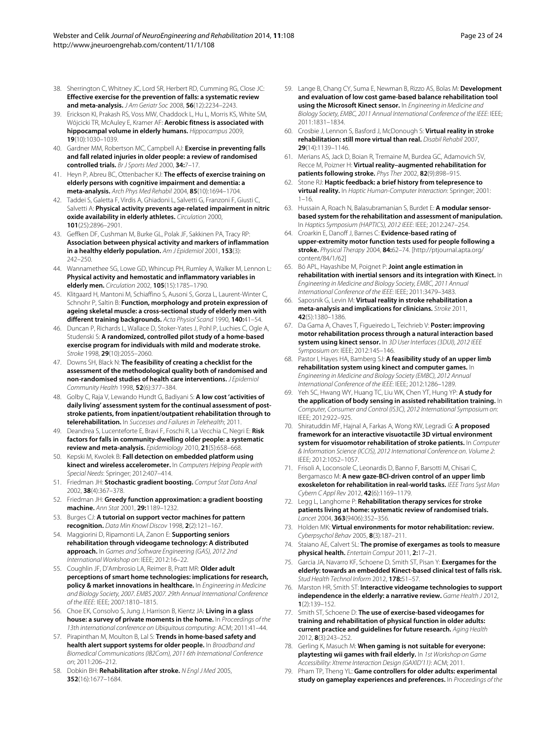- 38. Sherrington C, Whitney JC, Lord SR, Herbert RD, Cumming RG, Close JC: **Effective exercise for the prevention of falls: a systematic review and meta-analysis.** J Am Geriatr Soc 2008, **56**(12):2234–2243.
- 39. Erickson KI, Prakash RS, Voss MW, Chaddock L, Hu L, Morris KS, White SM, Wójcicki TR, McAuley E, Kramer AF: **Aerobic fitness is associated with hippocampal volume in elderly humans.** Hippocampus 2009, **19**(10):1030–1039.
- 40. Gardner MM, Robertson MC, Campbell AJ: **Exercise in preventing falls and fall related injuries in older people: a review of randomised controlled trials.** Br J Sports Med 2000, **34:**7–17.
- 41. Heyn P, Abreu BC, Ottenbacher KJ: **The effects of exercise training on elderly persons with cognitive impairment and dementia: a meta-analysis.** Arch Phys Med Rehabil 2004, **85**(10):1694–1704.
- 42. Taddei S, Galetta F, Virdis A, Ghiadoni L, Salvetti G, Franzoni F, Giusti C, Salvetti A: **Physical activity prevents age-related impairment in nitric oxide availability in elderly athletes.** Circulation 2000, **101**(25):2896–2901.
- 43. Geffken DF, Cushman M, Burke GL, Polak JF, Sakkinen PA, Tracy RP: **Association between physical activity and markers of inflammation in a healthy elderly population.** Am J Epidemiol 2001, **153**(3): 242–250.
- 44. Wannamethee SG, Lowe GD, Whincup PH, Rumley A, Walker M, Lennon L: **Physical activity and hemostatic and inflammatory variables in elderly men.** Circulation 2002, **105**(15):1785–1790.
- 45. Klitgaard H, Mantoni M, Schiaffino S, Ausoni S, Gorza L, Laurent-Winter C, Schnohr P, Saltin B: **Function, morphology and protein expression of ageing skeletal muscle: a cross-sectional study of elderly men with different training backgrounds.** Acta Physiol Scand 1990, **140:**41–54.
- <span id="page-22-0"></span>46. Duncan P, Richards L, Wallace D, Stoker-Yates J, Pohl P, Luchies C, Ogle A, Studenski S: **A randomized, controlled pilot study of a home-based exercise program for individuals with mild and moderate stroke.** Stroke 1998, **29**(10):2055–2060.
- <span id="page-22-1"></span>47. Downs SH, Black N: **The feasibility of creating a checklist for the assessment of the methodological quality both of randomised and non-randomised studies of health care interventions.** J Epidemiol Community Health 1998, **52**(6):377–384.
- <span id="page-22-2"></span>48. Golby C, Raja V, Lewando Hundt G, Badiyani S: **A low cost 'activities of daily living' assessment system for the continual assessment of poststroke patients, from inpatient/outpatient rehabilitation through to telerehabilitation.** In Successes and Failures in Telehealth; 2011.
- <span id="page-22-3"></span>49. Deandrea S, Lucenteforte E, Bravi F, Foschi R, La Vecchia C, Negri E: **Risk factors for falls in community-dwelling older people: a systematic review and meta-analysis.** Epidemiology 2010, **21**(5):658–668.
- <span id="page-22-4"></span>50. Kepski M, Kwolek B: **Fall detection on embedded platform using kinect and wireless accelerometer.** In Computers Helping People with Special Needs: Springer; 2012:407–414.
- <span id="page-22-5"></span>51. Friedman JH: **Stochastic gradient boosting.** Comput Stat Data Anal 2002, **38**(4):367–378.
- <span id="page-22-6"></span>52. Friedman JH: **Greedy function approximation: a gradient boosting machine.** Ann Stat 2001, **29:**1189–1232.
- <span id="page-22-7"></span>53. Burges CJ: **A tutorial on support vector machines for pattern recognition.** Data Min Knowl Discov 1998, **2**(2):121–167.
- <span id="page-22-8"></span>54. Maggiorini D, Ripamonti LA, Zanon E: **Supporting seniors rehabilitation through videogame technology: A distributed approach.** In Games and Software Engineering (GAS), 2012 2nd International Workshop on: IEEE; 2012:16–22.
- <span id="page-22-9"></span>55. Coughlin JF, D'Ambrosio LA, Reimer B, Pratt MR: **Older adult perceptions of smart home technologies: implications for research, policy & market innovations in healthcare.** In Engineering in Medicine and Biology Society, 2007. EMBS 2007. 29th Annual International Conference of the IEEE: IEEE; 2007:1810–1815.
- 56. Choe EK, Consolvo S, Jung J, Harrison B, Kientz JA: **Living in a glass house: a survey of private moments in the home.** In Proceedings of the 13th international conference on Ubiquitous computing: ACM; 2011:41–44.
- <span id="page-22-10"></span>57. Pirapinthan M, Moulton B, Lal S: **Trends in home-based safety and health alert support systems for older people.** In Broadband and Biomedical Communications (IB2Com), 2011 6th International Conference on; 2011:206–212.
- <span id="page-22-11"></span>58. Dobkin BH: **Rehabilitation after stroke.** N Engl J Med 2005, **352**(16):1677–1684.
- <span id="page-22-12"></span>59. Lange B, Chang CY, Suma E, Newman B, Rizzo AS, Bolas M: **Development and evaluation of low cost game-based balance rehabilitation tool using the Microsoft Kinect sensor.** In Engineering in Medicine and Biology Society, EMBC, 2011 Annual International Conference of the IEEE: IEEE; 2011:1831–1834.
- <span id="page-22-13"></span>60. Crosbie J, Lennon S, Basford J, McDonough S: **Virtual reality in stroke rehabilitation: still more virtual than real.** Disabil Rehabil 2007, **29**(14):1139–1146.
- <span id="page-22-14"></span>61. Merians AS, Jack D, Boian R, Tremaine M, Burdea GC, Adamovich SV, Recce M, Poizner H: **Virtual reality–augmented rehabilitation for patients following stroke.** Phys Ther 2002, **82**(9):898–915.
- <span id="page-22-15"></span>62. Stone RJ: **Haptic feedback: a brief history from telepresence to virtual reality.** In Haptic Human-Computer Interaction: Springer; 2001: 1–16.
- <span id="page-22-16"></span>63. Hussain A, Roach N, Balasubramanian S, Burdet E: **A modular sensorbased system for the rehabilitation and assessment of manipulation.** In Haptics Symposium (HAPTICS), 2012 IEEE: IEEE; 2012:247–254.
- <span id="page-22-17"></span>64. Croarkin E, Danoff J, Barnes C: **Evidence-based rating of upper-extremity motor function tests used for people following a stroke.** Physical Therapy 2004, **84:**62–74. [\[http://ptjournal.apta.org/](http://ptjournal.apta.org/content/84/1/62) [content/84/1/62\]](http://ptjournal.apta.org/content/84/1/62)
- <span id="page-22-18"></span>65. Bó APL, Hayashibe M, Poignet P: **Joint angle estimation in rehabilitation with inertial sensors and its integration with Kinect.** In Engineering in Medicine and Biology Society, EMBC, 2011 Annual International Conference of the IEEE: IEEE; 2011:3479–3483.
- <span id="page-22-19"></span>66. Saposnik G, Levin M: **Virtual reality in stroke rehabilitation a meta-analysis and implications for clinicians.** Stroke 2011, **42**(5):1380–1386.
- <span id="page-22-20"></span>67. Da Gama A, Chaves T, Figueiredo L, Teichrieb V: **Poster: improving motor rehabilitation process through a natural interaction based system using kinect sensor.** In 3D User Interfaces (3DUI), 2012 IEEE Symposium on: IEEE; 2012:145–146.
- <span id="page-22-21"></span>68. Pastor I, Hayes HA, Bamberg SJ: **A feasibility study of an upper limb rehabilitation system using kinect and computer games.** In Engineering in Medicine and Biology Society (EMBC), 2012 Annual International Conference of the IEEE: IEEE; 2012:1286–1289.
- <span id="page-22-22"></span>69. Yeh SC, Hwang WY, Huang TC, Liu WK, Chen YT, Hung YP: **A study for the application of body sensing in assisted rehabilitation training.** In Computer, Consumer and Control (IS3C), 2012 International Symposium on: IEEE; 2012:922–925.
- <span id="page-22-23"></span>70. Shiratuddin MF, Hajnal A, Farkas A, Wong KW, Legradi G: **A proposed framework for an interactive visuotactile 3D virtual environment system for visuomotor rehabilitation of stroke patients.** In Computer & Information Science (ICCIS), 2012 International Conference on. Volume 2: IEEE; 2012:1052–1057.
- <span id="page-22-24"></span>71. Frisoli A, Loconsole C, Leonardis D, Banno F, Barsotti M, Chisari C, Bergamasco M: **A new gaze-BCI-driven control of an upper limb exoskeleton for rehabilitation in real-world tasks.** IEEE Trans Syst Man Cybern C Appl Rev 2012, **42**(6):1169–1179.
- <span id="page-22-25"></span>72. Legg L, Langhorne P: **Rehabilitation therapy services for stroke patients living at home: systematic review of randomised trials.** Lancet 2004, **363**(9406):352–356.
- <span id="page-22-26"></span>73. Holden MK: **Virtual environments for motor rehabilitation: review.** Cyberpsychol Behav 2005, **8**(3):187–211.
- <span id="page-22-27"></span>74. Staiano AE, Calvert SL: **The promise of exergames as tools to measure physical health.** Entertain Comput 2011, **2:**17–21.
- <span id="page-22-28"></span>75. Garcia JA, Navarro KF, Schoene D, Smith ST, Pisan Y: **Exergames for the elderly: towards an embedded Kinect-based clinical test of falls risk.** Stud Health Technol Inform 2012, **178:**51–57.
- <span id="page-22-29"></span>76. Marston HR, Smith ST: **Interactive videogame technologies to support independence in the elderly: a narrative review.** Game Health J 2012, **1**(2):139–152.
- <span id="page-22-30"></span>77. Smith ST, Schoene D: **The use of exercise-based videogames for training and rehabilitation of physical function in older adults: current practice and guidelines for future research.** Aging Health 2012, **8**(3):243–252.
- <span id="page-22-31"></span>78. Gerling K, Masuch M: **When gaming is not suitable for everyone: playtesting wii games with frail elderly.** In 1st Workshop on Game Accessibility: Xtreme Interaction Design (GAXID'11): ACM; 2011.
- <span id="page-22-32"></span>79. Pham TP, Theng YL: **Game controllers for older adults: experimental study on gameplay experiences and preferences.** In Proceedings of the